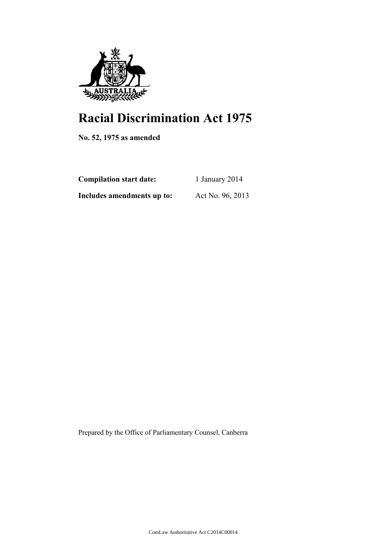

# **Racial Discrimination Act 1975**

**No. 52, 1975 as amended**

| <b>Compilation start date:</b> | 1 January 2014   |  |  |
|--------------------------------|------------------|--|--|
| Includes amendments up to:     | Act No. 96, 2013 |  |  |

Prepared by the Office of Parliamentary Counsel, Canberra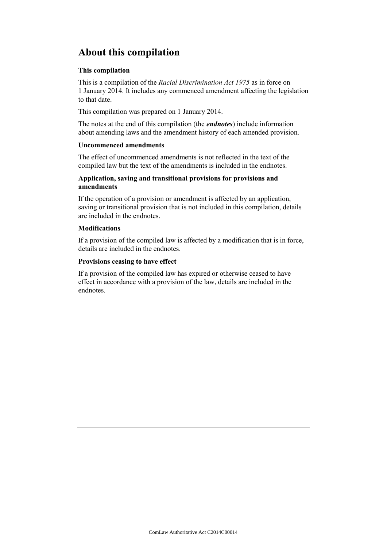## **About this compilation**

## **This compilation**

This is a compilation of the *Racial Discrimination Act 1975* as in force on 1 January 2014. It includes any commenced amendment affecting the legislation to that date.

This compilation was prepared on 1 January 2014.

The notes at the end of this compilation (the *endnotes*) include information about amending laws and the amendment history of each amended provision.

## **Uncommenced amendments**

The effect of uncommenced amendments is not reflected in the text of the compiled law but the text of the amendments is included in the endnotes.

## **Application, saving and transitional provisions for provisions and amendments**

If the operation of a provision or amendment is affected by an application, saving or transitional provision that is not included in this compilation, details are included in the endnotes.

## **Modifications**

If a provision of the compiled law is affected by a modification that is in force, details are included in the endnotes.

## **Provisions ceasing to have effect**

If a provision of the compiled law has expired or otherwise ceased to have effect in accordance with a provision of the law, details are included in the endnotes.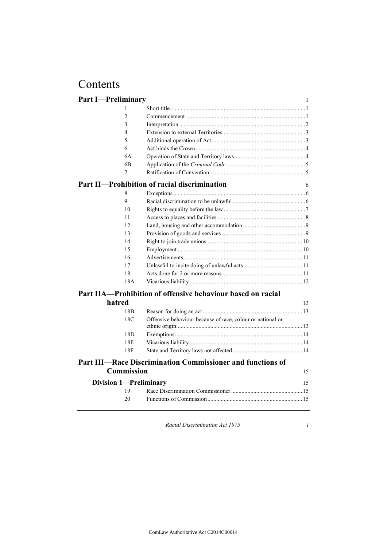# Contents

| <b>Part I-Preliminary</b>     |                                                                   | 1  |
|-------------------------------|-------------------------------------------------------------------|----|
| 1                             |                                                                   |    |
| $\overline{c}$                |                                                                   |    |
| 3                             |                                                                   |    |
| 4                             |                                                                   |    |
| 5                             |                                                                   |    |
| 6                             |                                                                   |    |
| 6A                            |                                                                   |    |
| 6B                            |                                                                   |    |
| 7                             |                                                                   |    |
|                               | <b>Part II—Prohibition of racial discrimination</b>               | 6  |
| 8                             |                                                                   |    |
| 9                             |                                                                   |    |
| 10                            |                                                                   |    |
| 11                            |                                                                   |    |
| 12                            |                                                                   |    |
| 13                            |                                                                   |    |
| 14                            |                                                                   |    |
| 15                            |                                                                   |    |
| 16                            |                                                                   |    |
| 17                            |                                                                   |    |
| 18                            |                                                                   |    |
| 18A                           |                                                                   |    |
|                               | Part IIA—Prohibition of offensive behaviour based on racial       |    |
| hatred                        |                                                                   | 13 |
| 18 <sub>B</sub>               |                                                                   |    |
| 18 <sub>C</sub>               | Offensive behaviour because of race, colour or national or        |    |
| 18 <sub>D</sub>               |                                                                   |    |
| 18E                           |                                                                   |    |
| 18F                           |                                                                   |    |
|                               | <b>Part III—Race Discrimination Commissioner and functions of</b> |    |
| <b>Commission</b>             |                                                                   | 15 |
| <b>Division 1-Preliminary</b> |                                                                   | 15 |
| 19                            |                                                                   |    |
| 20                            |                                                                   |    |
|                               |                                                                   |    |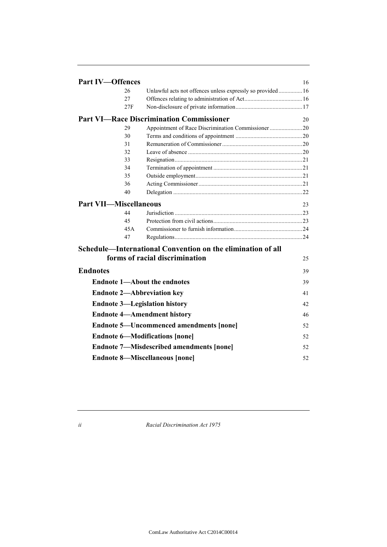| <b>Part IV-Offences</b>              |                                                             | 16 |
|--------------------------------------|-------------------------------------------------------------|----|
| 26                                   | Unlawful acts not offences unless expressly so provided 16  |    |
| 27                                   |                                                             |    |
| 27F                                  |                                                             |    |
|                                      | <b>Part VI-Race Discrimination Commissioner</b>             | 20 |
| 29                                   | Appointment of Race Discrimination Commissioner20           |    |
| 30                                   |                                                             |    |
| 31                                   |                                                             |    |
| 32                                   |                                                             |    |
| 33                                   |                                                             |    |
| 34                                   |                                                             |    |
| 35                                   |                                                             |    |
| 36                                   |                                                             |    |
| 40                                   |                                                             |    |
| <b>Part VII—Miscellaneous</b>        |                                                             | 23 |
| 44                                   |                                                             |    |
| 45                                   |                                                             |    |
| 45 A                                 |                                                             |    |
| 47                                   |                                                             |    |
|                                      | Schedule—International Convention on the elimination of all |    |
|                                      | forms of racial discrimination                              | 25 |
| <b>Endnotes</b>                      |                                                             | 39 |
| <b>Endnote 1-About the endnotes</b>  |                                                             | 39 |
| <b>Endnote 2-Abbreviation key</b>    |                                                             | 41 |
| <b>Endnote 3—Legislation history</b> |                                                             | 42 |
| <b>Endnote 4-Amendment history</b>   |                                                             | 46 |
|                                      | <b>Endnote 5—Uncommenced amendments [none]</b>              | 52 |
|                                      | <b>Endnote 6-Modifications [none]</b>                       | 52 |
|                                      | <b>Endnote 7—Misdescribed amendments [none]</b>             | 52 |
|                                      | <b>Endnote 8-Miscellaneous [none]</b>                       | 52 |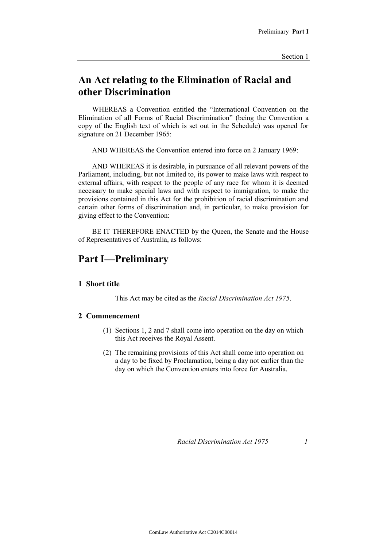## **An Act relating to the Elimination of Racial and other Discrimination**

WHEREAS a Convention entitled the "International Convention on the Elimination of all Forms of Racial Discrimination" (being the Convention a copy of the English text of which is set out in the Schedule) was opened for signature on 21 December 1965:

AND WHEREAS the Convention entered into force on 2 January 1969:

AND WHEREAS it is desirable, in pursuance of all relevant powers of the Parliament, including, but not limited to, its power to make laws with respect to external affairs, with respect to the people of any race for whom it is deemed necessary to make special laws and with respect to immigration, to make the provisions contained in this Act for the prohibition of racial discrimination and certain other forms of discrimination and, in particular, to make provision for giving effect to the Convention:

BE IT THEREFORE ENACTED by the Queen, the Senate and the House of Representatives of Australia, as follows:

## **Part I—Preliminary**

## **1 Short title**

This Act may be cited as the *Racial Discrimination Act 1975*.

## **2 Commencement**

- (1) Sections 1, 2 and 7 shall come into operation on the day on which this Act receives the Royal Assent.
- (2) The remaining provisions of this Act shall come into operation on a day to be fixed by Proclamation, being a day not earlier than the day on which the Convention enters into force for Australia.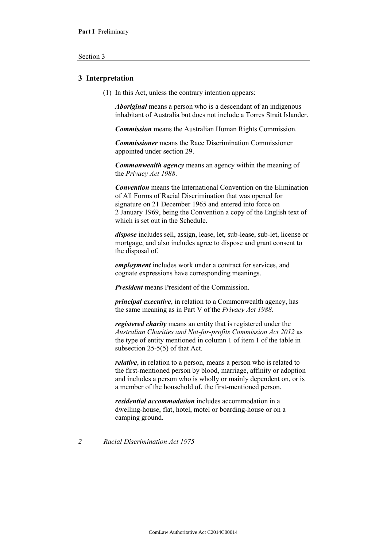#### Section 3

## **3 Interpretation**

(1) In this Act, unless the contrary intention appears:

*Aboriginal* means a person who is a descendant of an indigenous inhabitant of Australia but does not include a Torres Strait Islander.

*Commission* means the Australian Human Rights Commission.

*Commissioner* means the Race Discrimination Commissioner appointed under section 29.

*Commonwealth agency* means an agency within the meaning of the *Privacy Act 1988*.

*Convention* means the International Convention on the Elimination of All Forms of Racial Discrimination that was opened for signature on 21 December 1965 and entered into force on 2 January 1969, being the Convention a copy of the English text of which is set out in the Schedule.

*dispose* includes sell, assign, lease, let, sub-lease, sub-let, license or mortgage, and also includes agree to dispose and grant consent to the disposal of.

*employment* includes work under a contract for services, and cognate expressions have corresponding meanings.

*President* means President of the Commission.

*principal executive*, in relation to a Commonwealth agency, has the same meaning as in Part V of the *Privacy Act 1988*.

*registered charity* means an entity that is registered under the *Australian Charities and Not-for-profits Commission Act 2012* as the type of entity mentioned in column 1 of item 1 of the table in subsection 25-5(5) of that Act.

*relative*, in relation to a person, means a person who is related to the first-mentioned person by blood, marriage, affinity or adoption and includes a person who is wholly or mainly dependent on, or is a member of the household of, the first-mentioned person.

*residential accommodation* includes accommodation in a dwelling-house, flat, hotel, motel or boarding-house or on a camping ground.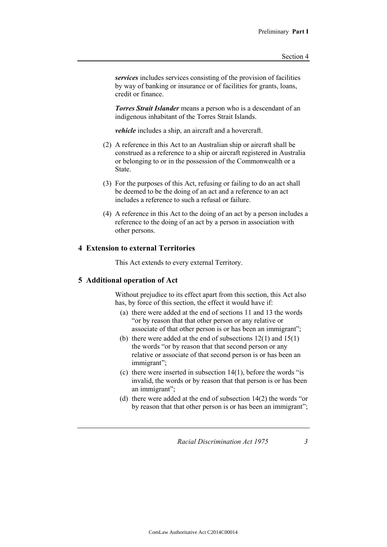*services* includes services consisting of the provision of facilities by way of banking or insurance or of facilities for grants, loans, credit or finance.

*Torres Strait Islander* means a person who is a descendant of an indigenous inhabitant of the Torres Strait Islands.

*vehicle* includes a ship, an aircraft and a hovercraft.

- (2) A reference in this Act to an Australian ship or aircraft shall be construed as a reference to a ship or aircraft registered in Australia or belonging to or in the possession of the Commonwealth or a State.
- (3) For the purposes of this Act, refusing or failing to do an act shall be deemed to be the doing of an act and a reference to an act includes a reference to such a refusal or failure.
- (4) A reference in this Act to the doing of an act by a person includes a reference to the doing of an act by a person in association with other persons.

## **4 Extension to external Territories**

This Act extends to every external Territory.

## **5 Additional operation of Act**

Without prejudice to its effect apart from this section, this Act also has, by force of this section, the effect it would have if:

- (a) there were added at the end of sections 11 and 13 the words "or by reason that that other person or any relative or associate of that other person is or has been an immigrant";
- (b) there were added at the end of subsections 12(1) and 15(1) the words "or by reason that that second person or any relative or associate of that second person is or has been an immigrant";
- (c) there were inserted in subsection  $14(1)$ , before the words "is invalid, the words or by reason that that person is or has been an immigrant":
- (d) there were added at the end of subsection  $14(2)$  the words "or by reason that that other person is or has been an immigrant";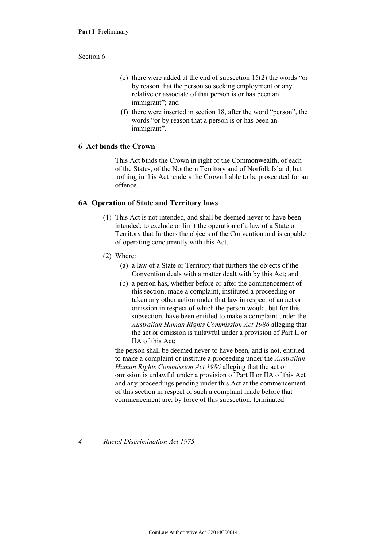- (e) there were added at the end of subsection  $15(2)$  the words "or by reason that the person so seeking employment or any relative or associate of that person is or has been an immigrant"; and
- (f) there were inserted in section 18, after the word "person", the words "or by reason that a person is or has been an immigrant".

## **6 Act binds the Crown**

This Act binds the Crown in right of the Commonwealth, of each of the States, of the Northern Territory and of Norfolk Island, but nothing in this Act renders the Crown liable to be prosecuted for an offence.

## **6A Operation of State and Territory laws**

- (1) This Act is not intended, and shall be deemed never to have been intended, to exclude or limit the operation of a law of a State or Territory that furthers the objects of the Convention and is capable of operating concurrently with this Act.
- (2) Where:
	- (a) a law of a State or Territory that furthers the objects of the Convention deals with a matter dealt with by this Act; and
	- (b) a person has, whether before or after the commencement of this section, made a complaint, instituted a proceeding or taken any other action under that law in respect of an act or omission in respect of which the person would, but for this subsection, have been entitled to make a complaint under the *Australian Human Rights Commission Act 1986* alleging that the act or omission is unlawful under a provision of Part II or IIA of this Act;

the person shall be deemed never to have been, and is not, entitled to make a complaint or institute a proceeding under the *Australian Human Rights Commission Act 1986* alleging that the act or omission is unlawful under a provision of Part II or IIA of this Act and any proceedings pending under this Act at the commencement of this section in respect of such a complaint made before that commencement are, by force of this subsection, terminated.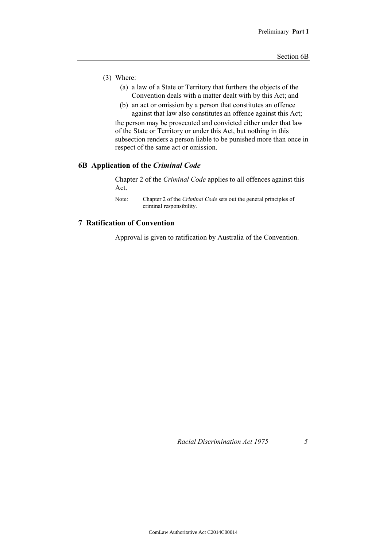- (3) Where:
	- (a) a law of a State or Territory that furthers the objects of the Convention deals with a matter dealt with by this Act; and
	- (b) an act or omission by a person that constitutes an offence against that law also constitutes an offence against this Act;

the person may be prosecuted and convicted either under that law of the State or Territory or under this Act, but nothing in this subsection renders a person liable to be punished more than once in respect of the same act or omission.

## **6B Application of the** *Criminal Code*

Chapter 2 of the *Criminal Code* applies to all offences against this Act.

## **7 Ratification of Convention**

Approval is given to ratification by Australia of the Convention.

Note: Chapter 2 of the *Criminal Code* sets out the general principles of criminal responsibility.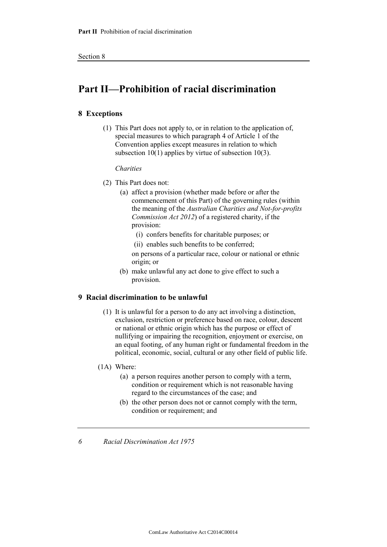## **Part II—Prohibition of racial discrimination**

## **8 Exceptions**

(1) This Part does not apply to, or in relation to the application of, special measures to which paragraph 4 of Article 1 of the Convention applies except measures in relation to which subsection 10(1) applies by virtue of subsection 10(3).

## *Charities*

- (2) This Part does not:
	- (a) affect a provision (whether made before or after the commencement of this Part) of the governing rules (within the meaning of the *Australian Charities and Not-for-profits Commission Act 2012*) of a registered charity, if the provision:
		- (i) confers benefits for charitable purposes; or
		- (ii) enables such benefits to be conferred;

on persons of a particular race, colour or national or ethnic origin; or

(b) make unlawful any act done to give effect to such a provision.

### **9 Racial discrimination to be unlawful**

(1) It is unlawful for a person to do any act involving a distinction, exclusion, restriction or preference based on race, colour, descent or national or ethnic origin which has the purpose or effect of nullifying or impairing the recognition, enjoyment or exercise, on an equal footing, of any human right or fundamental freedom in the political, economic, social, cultural or any other field of public life.

#### (1A) Where:

- (a) a person requires another person to comply with a term, condition or requirement which is not reasonable having regard to the circumstances of the case; and
- (b) the other person does not or cannot comply with the term, condition or requirement; and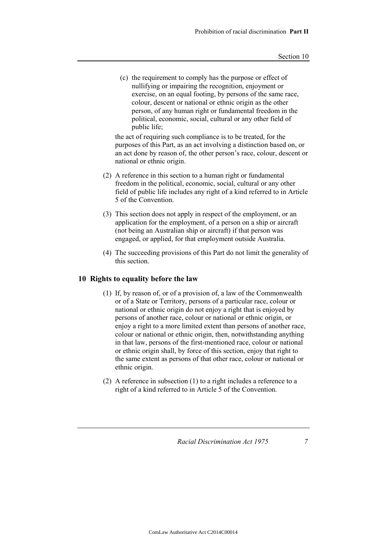(c) the requirement to comply has the purpose or effect of nullifying or impairing the recognition, enjoyment or exercise, on an equal footing, by persons of the same race, colour, descent or national or ethnic origin as the other person, of any human right or fundamental freedom in the political, economic, social, cultural or any other field of public life;

the act of requiring such compliance is to be treated, for the purposes of this Part, as an act involving a distinction based on, or an act done by reason of, the other person's race, colour, descent or national or ethnic origin.

- (2) A reference in this section to a human right or fundamental freedom in the political, economic, social, cultural or any other field of public life includes any right of a kind referred to in Article 5 of the Convention.
- (3) This section does not apply in respect of the employment, or an application for the employment, of a person on a ship or aircraft (not being an Australian ship or aircraft) if that person was engaged, or applied, for that employment outside Australia.
- (4) The succeeding provisions of this Part do not limit the generality of this section.

#### **10 Rights to equality before the law**

- (1) If, by reason of, or of a provision of, a law of the Commonwealth or of a State or Territory, persons of a particular race, colour or national or ethnic origin do not enjoy a right that is enjoyed by persons of another race, colour or national or ethnic origin, or enjoy a right to a more limited extent than persons of another race, colour or national or ethnic origin, then, notwithstanding anything in that law, persons of the first-mentioned race, colour or national or ethnic origin shall, by force of this section, enjoy that right to the same extent as persons of that other race, colour or national or ethnic origin.
- (2) A reference in subsection (1) to a right includes a reference to a right of a kind referred to in Article 5 of the Convention.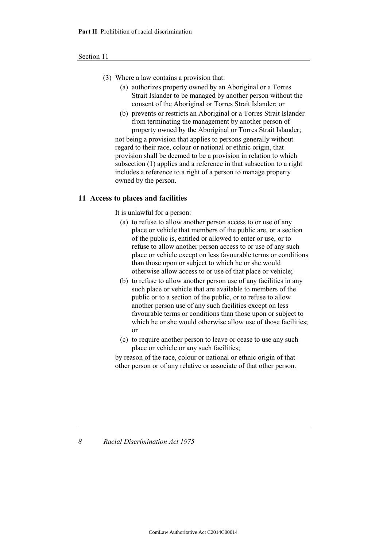- (3) Where a law contains a provision that:
	- (a) authorizes property owned by an Aboriginal or a Torres Strait Islander to be managed by another person without the consent of the Aboriginal or Torres Strait Islander; or
	- (b) prevents or restricts an Aboriginal or a Torres Strait Islander from terminating the management by another person of property owned by the Aboriginal or Torres Strait Islander;

not being a provision that applies to persons generally without regard to their race, colour or national or ethnic origin, that provision shall be deemed to be a provision in relation to which subsection (1) applies and a reference in that subsection to a right includes a reference to a right of a person to manage property owned by the person.

#### **11 Access to places and facilities**

It is unlawful for a person:

- (a) to refuse to allow another person access to or use of any place or vehicle that members of the public are, or a section of the public is, entitled or allowed to enter or use, or to refuse to allow another person access to or use of any such place or vehicle except on less favourable terms or conditions than those upon or subject to which he or she would otherwise allow access to or use of that place or vehicle;
- (b) to refuse to allow another person use of any facilities in any such place or vehicle that are available to members of the public or to a section of the public, or to refuse to allow another person use of any such facilities except on less favourable terms or conditions than those upon or subject to which he or she would otherwise allow use of those facilities; or
- (c) to require another person to leave or cease to use any such place or vehicle or any such facilities;

by reason of the race, colour or national or ethnic origin of that other person or of any relative or associate of that other person.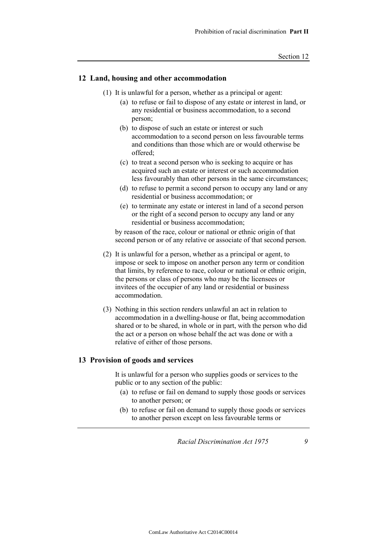#### **12 Land, housing and other accommodation**

- (1) It is unlawful for a person, whether as a principal or agent:
	- (a) to refuse or fail to dispose of any estate or interest in land, or any residential or business accommodation, to a second person;
	- (b) to dispose of such an estate or interest or such accommodation to a second person on less favourable terms and conditions than those which are or would otherwise be offered;
	- (c) to treat a second person who is seeking to acquire or has acquired such an estate or interest or such accommodation less favourably than other persons in the same circumstances;
	- (d) to refuse to permit a second person to occupy any land or any residential or business accommodation; or
	- (e) to terminate any estate or interest in land of a second person or the right of a second person to occupy any land or any residential or business accommodation;

by reason of the race, colour or national or ethnic origin of that second person or of any relative or associate of that second person.

- (2) It is unlawful for a person, whether as a principal or agent, to impose or seek to impose on another person any term or condition that limits, by reference to race, colour or national or ethnic origin, the persons or class of persons who may be the licensees or invitees of the occupier of any land or residential or business accommodation.
- (3) Nothing in this section renders unlawful an act in relation to accommodation in a dwelling-house or flat, being accommodation shared or to be shared, in whole or in part, with the person who did the act or a person on whose behalf the act was done or with a relative of either of those persons.

#### **13 Provision of goods and services**

It is unlawful for a person who supplies goods or services to the public or to any section of the public:

- (a) to refuse or fail on demand to supply those goods or services to another person; or
- (b) to refuse or fail on demand to supply those goods or services to another person except on less favourable terms or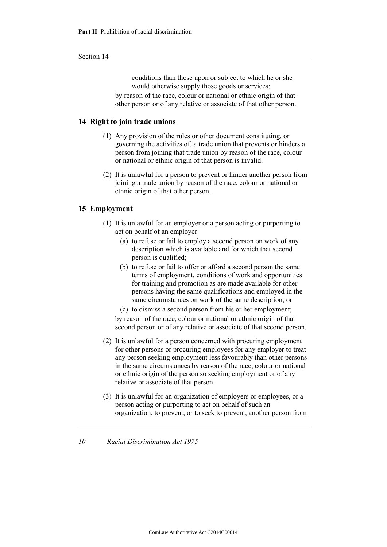#### Section 14

conditions than those upon or subject to which he or she would otherwise supply those goods or services;

by reason of the race, colour or national or ethnic origin of that other person or of any relative or associate of that other person.

#### **14 Right to join trade unions**

- (1) Any provision of the rules or other document constituting, or governing the activities of, a trade union that prevents or hinders a person from joining that trade union by reason of the race, colour or national or ethnic origin of that person is invalid.
- (2) It is unlawful for a person to prevent or hinder another person from joining a trade union by reason of the race, colour or national or ethnic origin of that other person.

## **15 Employment**

- (1) It is unlawful for an employer or a person acting or purporting to act on behalf of an employer:
	- (a) to refuse or fail to employ a second person on work of any description which is available and for which that second person is qualified;
	- (b) to refuse or fail to offer or afford a second person the same terms of employment, conditions of work and opportunities for training and promotion as are made available for other persons having the same qualifications and employed in the same circumstances on work of the same description; or

(c) to dismiss a second person from his or her employment; by reason of the race, colour or national or ethnic origin of that second person or of any relative or associate of that second person.

- (2) It is unlawful for a person concerned with procuring employment for other persons or procuring employees for any employer to treat any person seeking employment less favourably than other persons in the same circumstances by reason of the race, colour or national or ethnic origin of the person so seeking employment or of any relative or associate of that person.
- (3) It is unlawful for an organization of employers or employees, or a person acting or purporting to act on behalf of such an organization, to prevent, or to seek to prevent, another person from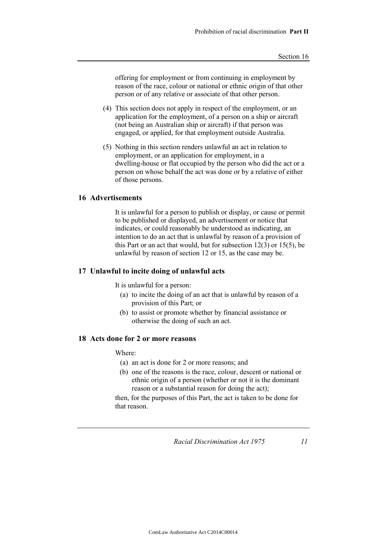offering for employment or from continuing in employment by reason of the race, colour or national or ethnic origin of that other person or of any relative or associate of that other person.

- (4) This section does not apply in respect of the employment, or an application for the employment, of a person on a ship or aircraft (not being an Australian ship or aircraft) if that person was engaged, or applied, for that employment outside Australia.
- (5) Nothing in this section renders unlawful an act in relation to employment, or an application for employment, in a dwelling-house or flat occupied by the person who did the act or a person on whose behalf the act was done or by a relative of either of those persons.

## **16 Advertisements**

It is unlawful for a person to publish or display, or cause or permit to be published or displayed, an advertisement or notice that indicates, or could reasonably be understood as indicating, an intention to do an act that is unlawful by reason of a provision of this Part or an act that would, but for subsection  $12(3)$  or  $15(5)$ , be unlawful by reason of section 12 or 15, as the case may be.

#### **17 Unlawful to incite doing of unlawful acts**

It is unlawful for a person:

- (a) to incite the doing of an act that is unlawful by reason of a provision of this Part; or
- (b) to assist or promote whether by financial assistance or otherwise the doing of such an act.

## **18 Acts done for 2 or more reasons**

Where:

- (a) an act is done for 2 or more reasons; and
- (b) one of the reasons is the race, colour, descent or national or ethnic origin of a person (whether or not it is the dominant reason or a substantial reason for doing the act);

then, for the purposes of this Part, the act is taken to be done for that reason.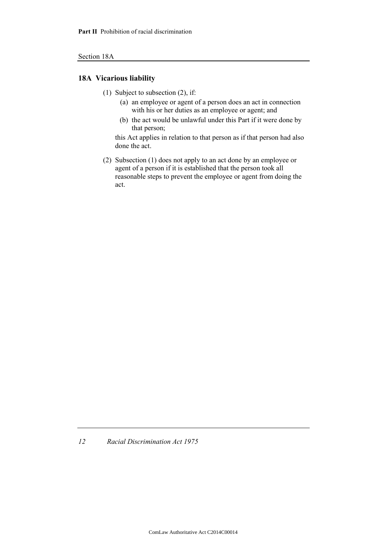Section 18A

## **18A Vicarious liability**

- (1) Subject to subsection (2), if:
	- (a) an employee or agent of a person does an act in connection with his or her duties as an employee or agent; and
	- (b) the act would be unlawful under this Part if it were done by that person;

this Act applies in relation to that person as if that person had also done the act.

(2) Subsection (1) does not apply to an act done by an employee or agent of a person if it is established that the person took all reasonable steps to prevent the employee or agent from doing the act.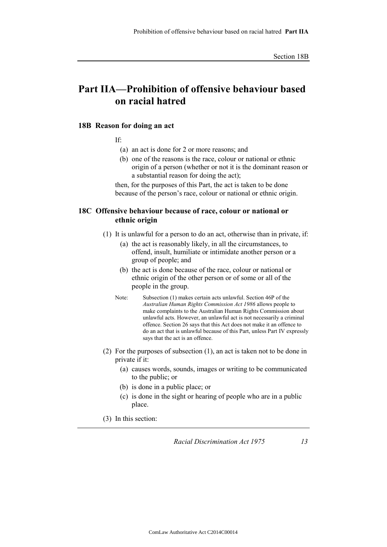## **Part IIA—Prohibition of offensive behaviour based on racial hatred**

#### **18B Reason for doing an act**

If:

- (a) an act is done for 2 or more reasons; and
- (b) one of the reasons is the race, colour or national or ethnic origin of a person (whether or not it is the dominant reason or a substantial reason for doing the act);

then, for the purposes of this Part, the act is taken to be done because of the person's race, colour or national or ethnic origin.

## **18C Offensive behaviour because of race, colour or national or ethnic origin**

- (1) It is unlawful for a person to do an act, otherwise than in private, if:
	- (a) the act is reasonably likely, in all the circumstances, to offend, insult, humiliate or intimidate another person or a group of people; and
	- (b) the act is done because of the race, colour or national or ethnic origin of the other person or of some or all of the people in the group.
	- Note: Subsection (1) makes certain acts unlawful. Section 46P of the *Australian Human Rights Commission Act 1986* allows people to make complaints to the Australian Human Rights Commission about unlawful acts. However, an unlawful act is not necessarily a criminal offence. Section 26 says that this Act does not make it an offence to do an act that is unlawful because of this Part, unless Part IV expressly says that the act is an offence.
- (2) For the purposes of subsection (1), an act is taken not to be done in private if it:
	- (a) causes words, sounds, images or writing to be communicated to the public; or
	- (b) is done in a public place; or
	- (c) is done in the sight or hearing of people who are in a public place.
- (3) In this section: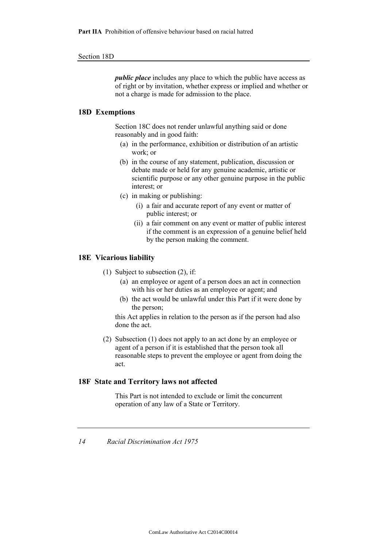#### Section 18D

*public place* includes any place to which the public have access as of right or by invitation, whether express or implied and whether or not a charge is made for admission to the place.

## **18D Exemptions**

Section 18C does not render unlawful anything said or done reasonably and in good faith:

- (a) in the performance, exhibition or distribution of an artistic work; or
- (b) in the course of any statement, publication, discussion or debate made or held for any genuine academic, artistic or scientific purpose or any other genuine purpose in the public interest; or
- (c) in making or publishing:
	- (i) a fair and accurate report of any event or matter of public interest; or
	- (ii) a fair comment on any event or matter of public interest if the comment is an expression of a genuine belief held by the person making the comment.

#### **18E Vicarious liability**

- (1) Subject to subsection (2), if:
	- (a) an employee or agent of a person does an act in connection with his or her duties as an employee or agent; and
	- (b) the act would be unlawful under this Part if it were done by the person;

this Act applies in relation to the person as if the person had also done the act.

(2) Subsection (1) does not apply to an act done by an employee or agent of a person if it is established that the person took all reasonable steps to prevent the employee or agent from doing the act.

## **18F State and Territory laws not affected**

This Part is not intended to exclude or limit the concurrent operation of any law of a State or Territory.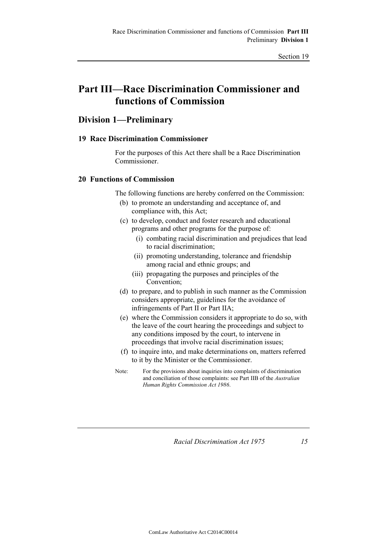## **Part III—Race Discrimination Commissioner and functions of Commission**

## **Division 1—Preliminary**

## **19 Race Discrimination Commissioner**

For the purposes of this Act there shall be a Race Discrimination Commissioner.

## **20 Functions of Commission**

The following functions are hereby conferred on the Commission:

- (b) to promote an understanding and acceptance of, and compliance with, this Act;
- (c) to develop, conduct and foster research and educational programs and other programs for the purpose of:
	- (i) combating racial discrimination and prejudices that lead to racial discrimination;
	- (ii) promoting understanding, tolerance and friendship among racial and ethnic groups; and
	- (iii) propagating the purposes and principles of the Convention;
- (d) to prepare, and to publish in such manner as the Commission considers appropriate, guidelines for the avoidance of infringements of Part II or Part IIA;
- (e) where the Commission considers it appropriate to do so, with the leave of the court hearing the proceedings and subject to any conditions imposed by the court, to intervene in proceedings that involve racial discrimination issues;
- (f) to inquire into, and make determinations on, matters referred to it by the Minister or the Commissioner.
- Note: For the provisions about inquiries into complaints of discrimination and conciliation of those complaints: see Part IIB of the *Australian Human Rights Commission Act 1986*.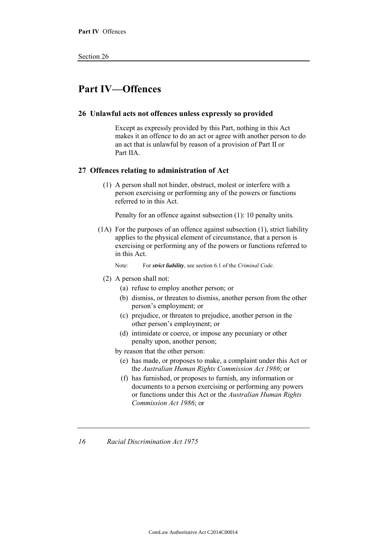## **Part IV—Offences**

## **26 Unlawful acts not offences unless expressly so provided**

Except as expressly provided by this Part, nothing in this Act makes it an offence to do an act or agree with another person to do an act that is unlawful by reason of a provision of Part II or Part IIA.

## **27 Offences relating to administration of Act**

(1) A person shall not hinder, obstruct, molest or interfere with a person exercising or performing any of the powers or functions referred to in this Act.

Penalty for an offence against subsection (1): 10 penalty units.

(1A) For the purposes of an offence against subsection (1), strict liability applies to the physical element of circumstance, that a person is exercising or performing any of the powers or functions referred to in this Act.

Note: For *strict liability*, see section 6.1 of the *Criminal Code*.

- (2) A person shall not:
	- (a) refuse to employ another person; or
	- (b) dismiss, or threaten to dismiss, another person from the other person's employment; or
	- (c) prejudice, or threaten to prejudice, another person in the other person's employment; or
	- (d) intimidate or coerce, or impose any pecuniary or other penalty upon, another person;
	- by reason that the other person:
		- (e) has made, or proposes to make, a complaint under this Act or the *Australian Human Rights Commission Act 1986*; or
		- (f) has furnished, or proposes to furnish, any information or documents to a person exercising or performing any powers or functions under this Act or the *Australian Human Rights Commission Act 1986*; or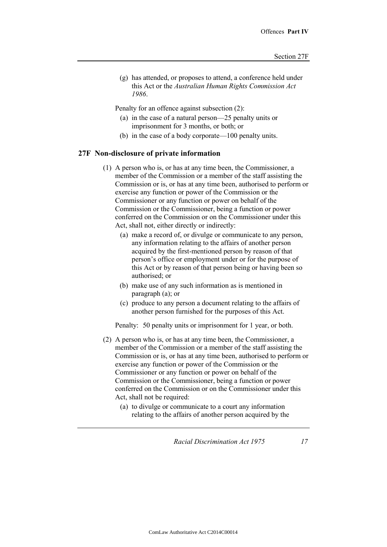(g) has attended, or proposes to attend, a conference held under this Act or the *Australian Human Rights Commission Act 1986*.

Penalty for an offence against subsection (2):

- (a) in the case of a natural person—25 penalty units or imprisonment for 3 months, or both; or
- (b) in the case of a body corporate—100 penalty units.

## **27F Non-disclosure of private information**

- (1) A person who is, or has at any time been, the Commissioner, a member of the Commission or a member of the staff assisting the Commission or is, or has at any time been, authorised to perform or exercise any function or power of the Commission or the Commissioner or any function or power on behalf of the Commission or the Commissioner, being a function or power conferred on the Commission or on the Commissioner under this Act, shall not, either directly or indirectly:
	- (a) make a record of, or divulge or communicate to any person, any information relating to the affairs of another person acquired by the first-mentioned person by reason of that person's office or employment under or for the purpose of this Act or by reason of that person being or having been so authorised; or
	- (b) make use of any such information as is mentioned in paragraph (a); or
	- (c) produce to any person a document relating to the affairs of another person furnished for the purposes of this Act.

Penalty: 50 penalty units or imprisonment for 1 year, or both.

- (2) A person who is, or has at any time been, the Commissioner, a member of the Commission or a member of the staff assisting the Commission or is, or has at any time been, authorised to perform or exercise any function or power of the Commission or the Commissioner or any function or power on behalf of the Commission or the Commissioner, being a function or power conferred on the Commission or on the Commissioner under this Act, shall not be required:
	- (a) to divulge or communicate to a court any information relating to the affairs of another person acquired by the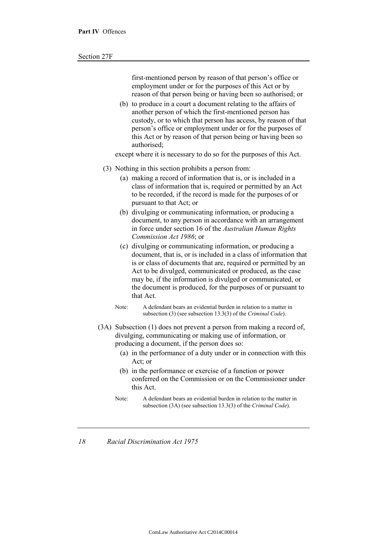first-mentioned person by reason of that person's office or employment under or for the purposes of this Act or by reason of that person being or having been so authorised; or

(b) to produce in a court a document relating to the affairs of another person of which the first-mentioned person has custody, or to which that person has access, by reason of that person's office or employment under or for the purposes of this Act or by reason of that person being or having been so authorised;

except where it is necessary to do so for the purposes of this Act.

- (3) Nothing in this section prohibits a person from:
	- (a) making a record of information that is, or is included in a class of information that is, required or permitted by an Act to be recorded, if the record is made for the purposes of or pursuant to that Act; or
	- (b) divulging or communicating information, or producing a document, to any person in accordance with an arrangement in force under section 16 of the *Australian Human Rights Commission Act 1986*; or
	- (c) divulging or communicating information, or producing a document, that is, or is included in a class of information that is or class of documents that are, required or permitted by an Act to be divulged, communicated or produced, as the case may be, if the information is divulged or communicated, or the document is produced, for the purposes of or pursuant to that Act.
	- Note: A defendant bears an evidential burden in relation to a matter in subsection (3) (see subsection 13.3(3) of the *Criminal Code*).
- (3A) Subsection (1) does not prevent a person from making a record of, divulging, communicating or making use of information, or producing a document, if the person does so:
	- (a) in the performance of a duty under or in connection with this Act; or
	- (b) in the performance or exercise of a function or power conferred on the Commission or on the Commissioner under this Act.
	- Note: A defendant bears an evidential burden in relation to the matter in subsection (3A) (see subsection 13.3(3) of the *Criminal Code*).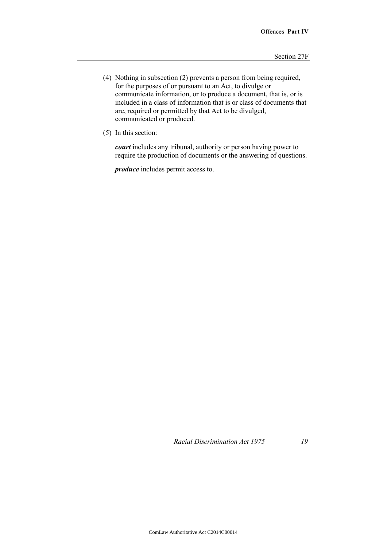- (4) Nothing in subsection (2) prevents a person from being required, for the purposes of or pursuant to an Act, to divulge or communicate information, or to produce a document, that is, or is included in a class of information that is or class of documents that are, required or permitted by that Act to be divulged, communicated or produced.
- (5) In this section:

*court* includes any tribunal, authority or person having power to require the production of documents or the answering of questions.

*produce* includes permit access to.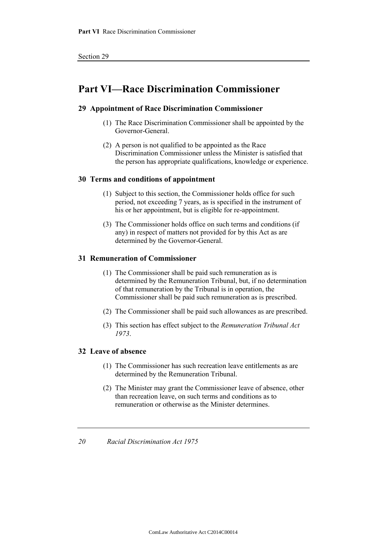## **Part VI—Race Discrimination Commissioner**

#### **29 Appointment of Race Discrimination Commissioner**

- (1) The Race Discrimination Commissioner shall be appointed by the Governor-General.
- (2) A person is not qualified to be appointed as the Race Discrimination Commissioner unless the Minister is satisfied that the person has appropriate qualifications, knowledge or experience.

### **30 Terms and conditions of appointment**

- (1) Subject to this section, the Commissioner holds office for such period, not exceeding 7 years, as is specified in the instrument of his or her appointment, but is eligible for re-appointment.
- (3) The Commissioner holds office on such terms and conditions (if any) in respect of matters not provided for by this Act as are determined by the Governor-General.

#### **31 Remuneration of Commissioner**

- (1) The Commissioner shall be paid such remuneration as is determined by the Remuneration Tribunal, but, if no determination of that remuneration by the Tribunal is in operation, the Commissioner shall be paid such remuneration as is prescribed.
- (2) The Commissioner shall be paid such allowances as are prescribed.
- (3) This section has effect subject to the *Remuneration Tribunal Act 1973*.

#### **32 Leave of absence**

- (1) The Commissioner has such recreation leave entitlements as are determined by the Remuneration Tribunal.
- (2) The Minister may grant the Commissioner leave of absence, other than recreation leave, on such terms and conditions as to remuneration or otherwise as the Minister determines.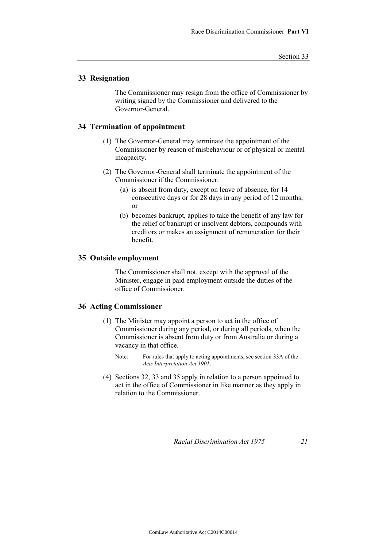### **33 Resignation**

The Commissioner may resign from the office of Commissioner by writing signed by the Commissioner and delivered to the Governor-General.

#### **34 Termination of appointment**

- (1) The Governor-General may terminate the appointment of the Commissioner by reason of misbehaviour or of physical or mental incapacity.
- (2) The Governor-General shall terminate the appointment of the Commissioner if the Commissioner:
	- (a) is absent from duty, except on leave of absence, for 14 consecutive days or for 28 days in any period of 12 months; or
	- (b) becomes bankrupt, applies to take the benefit of any law for the relief of bankrupt or insolvent debtors, compounds with creditors or makes an assignment of remuneration for their benefit.

#### **35 Outside employment**

The Commissioner shall not, except with the approval of the Minister, engage in paid employment outside the duties of the office of Commissioner.

#### **36 Acting Commissioner**

- (1) The Minister may appoint a person to act in the office of Commissioner during any period, or during all periods, when the Commissioner is absent from duty or from Australia or during a vacancy in that office.
	- Note: For rules that apply to acting appointments, see section 33A of the *Acts Interpretation Act 1901*.
- (4) Sections 32, 33 and 35 apply in relation to a person appointed to act in the office of Commissioner in like manner as they apply in relation to the Commissioner.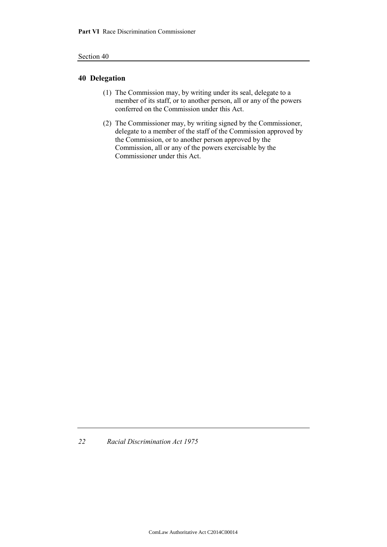### Section 40

## **40 Delegation**

- (1) The Commission may, by writing under its seal, delegate to a member of its staff, or to another person, all or any of the powers conferred on the Commission under this Act.
- (2) The Commissioner may, by writing signed by the Commissioner, delegate to a member of the staff of the Commission approved by the Commission, or to another person approved by the Commission, all or any of the powers exercisable by the Commissioner under this Act.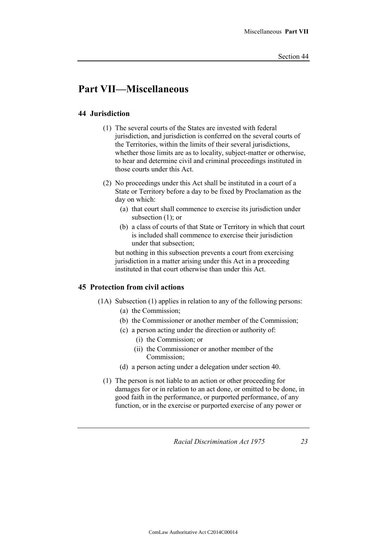## **Part VII—Miscellaneous**

## **44 Jurisdiction**

- (1) The several courts of the States are invested with federal jurisdiction, and jurisdiction is conferred on the several courts of the Territories, within the limits of their several jurisdictions, whether those limits are as to locality, subject-matter or otherwise, to hear and determine civil and criminal proceedings instituted in those courts under this Act.
- (2) No proceedings under this Act shall be instituted in a court of a State or Territory before a day to be fixed by Proclamation as the day on which:
	- (a) that court shall commence to exercise its jurisdiction under subsection (1); or
	- (b) a class of courts of that State or Territory in which that court is included shall commence to exercise their jurisdiction under that subsection;

but nothing in this subsection prevents a court from exercising jurisdiction in a matter arising under this Act in a proceeding instituted in that court otherwise than under this Act.

## **45 Protection from civil actions**

- (1A) Subsection (1) applies in relation to any of the following persons:
	- (a) the Commission;
	- (b) the Commissioner or another member of the Commission;
	- (c) a person acting under the direction or authority of:
		- (i) the Commission; or
		- (ii) the Commissioner or another member of the Commission;
	- (d) a person acting under a delegation under section 40.
	- (1) The person is not liable to an action or other proceeding for damages for or in relation to an act done, or omitted to be done, in good faith in the performance, or purported performance, of any function, or in the exercise or purported exercise of any power or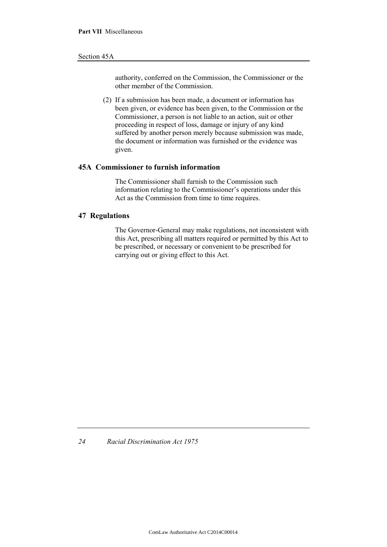#### Section 45A

authority, conferred on the Commission, the Commissioner or the other member of the Commission.

(2) If a submission has been made, a document or information has been given, or evidence has been given, to the Commission or the Commissioner, a person is not liable to an action, suit or other proceeding in respect of loss, damage or injury of any kind suffered by another person merely because submission was made, the document or information was furnished or the evidence was given.

## **45A Commissioner to furnish information**

The Commissioner shall furnish to the Commission such information relating to the Commissioner's operations under this Act as the Commission from time to time requires.

## **47 Regulations**

The Governor-General may make regulations, not inconsistent with this Act, prescribing all matters required or permitted by this Act to be prescribed, or necessary or convenient to be prescribed for carrying out or giving effect to this Act.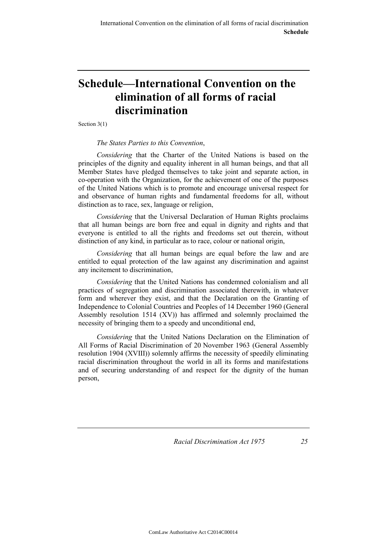# **Schedule—International Convention on the elimination of all forms of racial discrimination**

Section 3(1)

#### *The States Parties to this Convention*,

*Considering* that the Charter of the United Nations is based on the principles of the dignity and equality inherent in all human beings, and that all Member States have pledged themselves to take joint and separate action, in co-operation with the Organization, for the achievement of one of the purposes of the United Nations which is to promote and encourage universal respect for and observance of human rights and fundamental freedoms for all, without distinction as to race, sex, language or religion,

*Considering* that the Universal Declaration of Human Rights proclaims that all human beings are born free and equal in dignity and rights and that everyone is entitled to all the rights and freedoms set out therein, without distinction of any kind, in particular as to race, colour or national origin,

*Considering* that all human beings are equal before the law and are entitled to equal protection of the law against any discrimination and against any incitement to discrimination,

*Considering* that the United Nations has condemned colonialism and all practices of segregation and discrimination associated therewith, in whatever form and wherever they exist, and that the Declaration on the Granting of Independence to Colonial Countries and Peoples of 14 December 1960 (General Assembly resolution 1514 (XV)) has affirmed and solemnly proclaimed the necessity of bringing them to a speedy and unconditional end,

*Considering* that the United Nations Declaration on the Elimination of All Forms of Racial Discrimination of 20 November 1963 (General Assembly resolution 1904 (XVIII)) solemnly affirms the necessity of speedily eliminating racial discrimination throughout the world in all its forms and manifestations and of securing understanding of and respect for the dignity of the human person,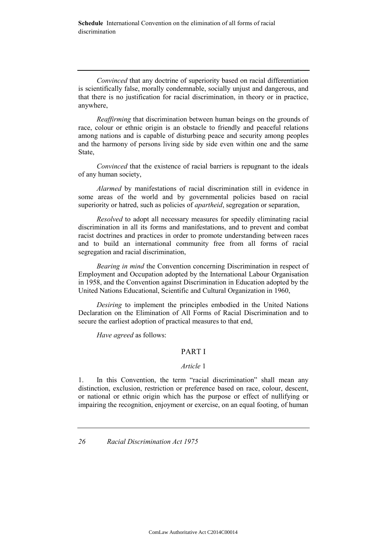**Schedule** International Convention on the elimination of all forms of racial discrimination

*Convinced* that any doctrine of superiority based on racial differentiation is scientifically false, morally condemnable, socially unjust and dangerous, and that there is no justification for racial discrimination, in theory or in practice, anywhere,

*Reaffirming* that discrimination between human beings on the grounds of race, colour or ethnic origin is an obstacle to friendly and peaceful relations among nations and is capable of disturbing peace and security among peoples and the harmony of persons living side by side even within one and the same State,

*Convinced* that the existence of racial barriers is repugnant to the ideals of any human society,

*Alarmed* by manifestations of racial discrimination still in evidence in some areas of the world and by governmental policies based on racial superiority or hatred, such as policies of *apartheid*, segregation or separation,

*Resolved* to adopt all necessary measures for speedily eliminating racial discrimination in all its forms and manifestations, and to prevent and combat racist doctrines and practices in order to promote understanding between races and to build an international community free from all forms of racial segregation and racial discrimination,

*Bearing in mind* the Convention concerning Discrimination in respect of Employment and Occupation adopted by the International Labour Organisation in 1958, and the Convention against Discrimination in Education adopted by the United Nations Educational, Scientific and Cultural Organization in 1960,

*Desiring* to implement the principles embodied in the United Nations Declaration on the Elimination of All Forms of Racial Discrimination and to secure the earliest adoption of practical measures to that end,

*Have agreed* as follows:

## PART I

#### *Article* 1

1. In this Convention, the term "racial discrimination" shall mean any distinction, exclusion, restriction or preference based on race, colour, descent, or national or ethnic origin which has the purpose or effect of nullifying or impairing the recognition, enjoyment or exercise, on an equal footing, of human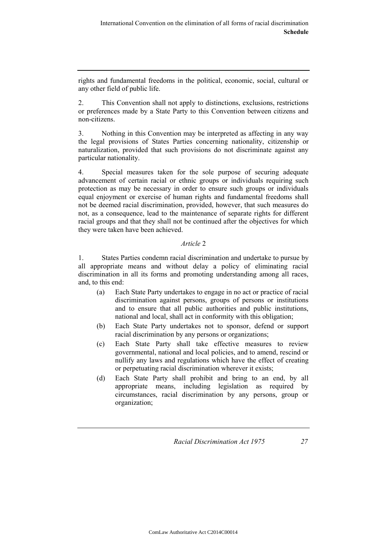rights and fundamental freedoms in the political, economic, social, cultural or any other field of public life.

2. This Convention shall not apply to distinctions, exclusions, restrictions or preferences made by a State Party to this Convention between citizens and non-citizens.

3. Nothing in this Convention may be interpreted as affecting in any way the legal provisions of States Parties concerning nationality, citizenship or naturalization, provided that such provisions do not discriminate against any particular nationality.

4. Special measures taken for the sole purpose of securing adequate advancement of certain racial or ethnic groups or individuals requiring such protection as may be necessary in order to ensure such groups or individuals equal enjoyment or exercise of human rights and fundamental freedoms shall not be deemed racial discrimination, provided, however, that such measures do not, as a consequence, lead to the maintenance of separate rights for different racial groups and that they shall not be continued after the objectives for which they were taken have been achieved.

## *Article* 2

1. States Parties condemn racial discrimination and undertake to pursue by all appropriate means and without delay a policy of eliminating racial discrimination in all its forms and promoting understanding among all races, and, to this end:

- (a) Each State Party undertakes to engage in no act or practice of racial discrimination against persons, groups of persons or institutions and to ensure that all public authorities and public institutions, national and local, shall act in conformity with this obligation;
- (b) Each State Party undertakes not to sponsor, defend or support racial discrimination by any persons or organizations;
- (c) Each State Party shall take effective measures to review governmental, national and local policies, and to amend, rescind or nullify any laws and regulations which have the effect of creating or perpetuating racial discrimination wherever it exists;
- (d) Each State Party shall prohibit and bring to an end, by all appropriate means, including legislation as required by circumstances, racial discrimination by any persons, group or organization;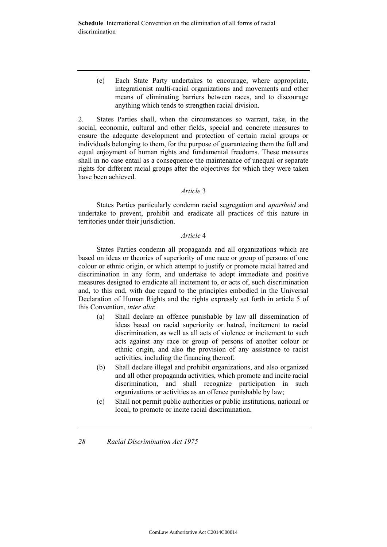(e) Each State Party undertakes to encourage, where appropriate, integrationist multi-racial organizations and movements and other means of eliminating barriers between races, and to discourage anything which tends to strengthen racial division.

2. States Parties shall, when the circumstances so warrant, take, in the social, economic, cultural and other fields, special and concrete measures to ensure the adequate development and protection of certain racial groups or individuals belonging to them, for the purpose of guaranteeing them the full and equal enjoyment of human rights and fundamental freedoms. These measures shall in no case entail as a consequence the maintenance of unequal or separate rights for different racial groups after the objectives for which they were taken have been achieved.

#### *Article* 3

States Parties particularly condemn racial segregation and *apartheid* and undertake to prevent, prohibit and eradicate all practices of this nature in territories under their jurisdiction.

#### *Article* 4

States Parties condemn all propaganda and all organizations which are based on ideas or theories of superiority of one race or group of persons of one colour or ethnic origin, or which attempt to justify or promote racial hatred and discrimination in any form, and undertake to adopt immediate and positive measures designed to eradicate all incitement to, or acts of, such discrimination and, to this end, with due regard to the principles embodied in the Universal Declaration of Human Rights and the rights expressly set forth in article 5 of this Convention, *inter alia*:

- (a) Shall declare an offence punishable by law all dissemination of ideas based on racial superiority or hatred, incitement to racial discrimination, as well as all acts of violence or incitement to such acts against any race or group of persons of another colour or ethnic origin, and also the provision of any assistance to racist activities, including the financing thereof;
- (b) Shall declare illegal and prohibit organizations, and also organized and all other propaganda activities, which promote and incite racial discrimination, and shall recognize participation in such organizations or activities as an offence punishable by law;
- (c) Shall not permit public authorities or public institutions, national or local, to promote or incite racial discrimination.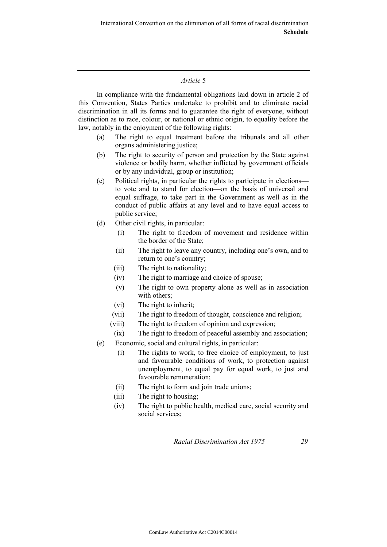## *Article* 5

In compliance with the fundamental obligations laid down in article 2 of this Convention, States Parties undertake to prohibit and to eliminate racial discrimination in all its forms and to guarantee the right of everyone, without distinction as to race, colour, or national or ethnic origin, to equality before the law, notably in the enjoyment of the following rights:

- (a) The right to equal treatment before the tribunals and all other organs administering justice;
- (b) The right to security of person and protection by the State against violence or bodily harm, whether inflicted by government officials or by any individual, group or institution;
- (c) Political rights, in particular the rights to participate in elections to vote and to stand for election—on the basis of universal and equal suffrage, to take part in the Government as well as in the conduct of public affairs at any level and to have equal access to public service;
- (d) Other civil rights, in particular:
	- (i) The right to freedom of movement and residence within the border of the State;
	- (ii) The right to leave any country, including one's own, and to return to one's country;
	- (iii) The right to nationality;
	- (iv) The right to marriage and choice of spouse;
	- (v) The right to own property alone as well as in association with others:
	- (vi) The right to inherit;
	- (vii) The right to freedom of thought, conscience and religion;
	- (viii) The right to freedom of opinion and expression;
		- (ix) The right to freedom of peaceful assembly and association;
- (e) Economic, social and cultural rights, in particular:
	- (i) The rights to work, to free choice of employment, to just and favourable conditions of work, to protection against unemployment, to equal pay for equal work, to just and favourable remuneration;
	- (ii) The right to form and join trade unions;
	- (iii) The right to housing;
	- (iv) The right to public health, medical care, social security and social services;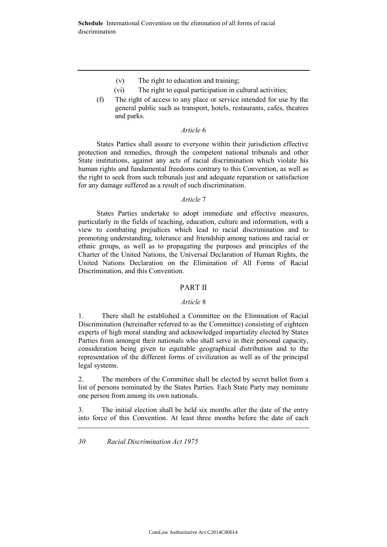- (v) The right to education and training;
- (vi) The right to equal participation in cultural activities;
- (f) The right of access to any place or service intended for use by the general public such as transport, hotels, restaurants, cafes, theatres and parks.

#### *Article* 6

States Parties shall assure to everyone within their jurisdiction effective protection and remedies, through the competent national tribunals and other State institutions, against any acts of racial discrimination which violate his human rights and fundamental freedoms contrary to this Convention, as well as the right to seek from such tribunals just and adequate reparation or satisfaction for any damage suffered as a result of such discrimination.

#### *Article* 7

States Parties undertake to adopt immediate and effective measures, particularly in the fields of teaching, education, culture and information, with a view to combating prejudices which lead to racial discrimination and to promoting understanding, tolerance and friendship among nations and racial or ethnic groups, as well as to propagating the purposes and principles of the Charter of the United Nations, the Universal Declaration of Human Rights, the United Nations Declaration on the Elimination of All Forms of Racial Discrimination, and this Convention.

#### PART II

## *Article* 8

1. There shall be established a Committee on the Elimination of Racial Discrimination (hereinafter referred to as the Committee) consisting of eighteen experts of high moral standing and acknowledged impartiality elected by States Parties from amongst their nationals who shall serve in their personal capacity, consideration being given to equitable geographical distribution and to the representation of the different forms of civilization as well as of the principal legal systems.

2. The members of the Committee shall be elected by secret ballot from a list of persons nominated by the States Parties. Each State Party may nominate one person from among its own nationals.

3. The initial election shall be held six months after the date of the entry into force of this Convention. At least three months before the date of each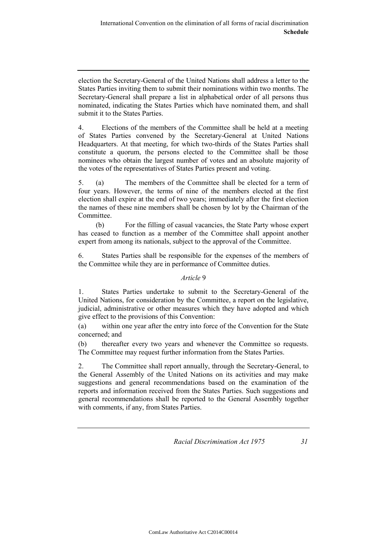election the Secretary-General of the United Nations shall address a letter to the States Parties inviting them to submit their nominations within two months. The Secretary-General shall prepare a list in alphabetical order of all persons thus nominated, indicating the States Parties which have nominated them, and shall submit it to the States Parties.

4. Elections of the members of the Committee shall be held at a meeting of States Parties convened by the Secretary-General at United Nations Headquarters. At that meeting, for which two-thirds of the States Parties shall constitute a quorum, the persons elected to the Committee shall be those nominees who obtain the largest number of votes and an absolute majority of the votes of the representatives of States Parties present and voting.

5. (a) The members of the Committee shall be elected for a term of four years. However, the terms of nine of the members elected at the first election shall expire at the end of two years; immediately after the first election the names of these nine members shall be chosen by lot by the Chairman of the **Committee** 

(b) For the filling of casual vacancies, the State Party whose expert has ceased to function as a member of the Committee shall appoint another expert from among its nationals, subject to the approval of the Committee.

6. States Parties shall be responsible for the expenses of the members of the Committee while they are in performance of Committee duties.

## *Article* 9

1. States Parties undertake to submit to the Secretary-General of the United Nations, for consideration by the Committee, a report on the legislative, judicial, administrative or other measures which they have adopted and which give effect to the provisions of this Convention:

(a) within one year after the entry into force of the Convention for the State concerned; and

(b) thereafter every two years and whenever the Committee so requests. The Committee may request further information from the States Parties.

2. The Committee shall report annually, through the Secretary-General, to the General Assembly of the United Nations on its activities and may make suggestions and general recommendations based on the examination of the reports and information received from the States Parties. Such suggestions and general recommendations shall be reported to the General Assembly together with comments, if any, from States Parties.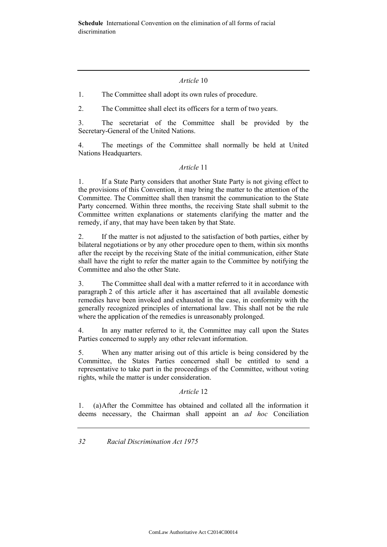## *Article* 10

1. The Committee shall adopt its own rules of procedure.

2. The Committee shall elect its officers for a term of two years.

3. The secretariat of the Committee shall be provided by the Secretary-General of the United Nations.

4. The meetings of the Committee shall normally be held at United Nations Headquarters.

## *Article* 11

1. If a State Party considers that another State Party is not giving effect to the provisions of this Convention, it may bring the matter to the attention of the Committee. The Committee shall then transmit the communication to the State Party concerned. Within three months, the receiving State shall submit to the Committee written explanations or statements clarifying the matter and the remedy, if any, that may have been taken by that State.

2. If the matter is not adjusted to the satisfaction of both parties, either by bilateral negotiations or by any other procedure open to them, within six months after the receipt by the receiving State of the initial communication, either State shall have the right to refer the matter again to the Committee by notifying the Committee and also the other State.

3. The Committee shall deal with a matter referred to it in accordance with paragraph 2 of this article after it has ascertained that all available domestic remedies have been invoked and exhausted in the case, in conformity with the generally recognized principles of international law. This shall not be the rule where the application of the remedies is unreasonably prolonged.

4. In any matter referred to it, the Committee may call upon the States Parties concerned to supply any other relevant information.

5. When any matter arising out of this article is being considered by the Committee, the States Parties concerned shall be entitled to send a representative to take part in the proceedings of the Committee, without voting rights, while the matter is under consideration.

## *Article* 12

1. (a)After the Committee has obtained and collated all the information it deems necessary, the Chairman shall appoint an *ad hoc* Conciliation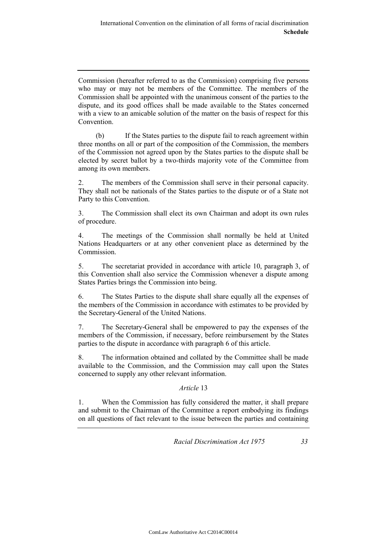Commission (hereafter referred to as the Commission) comprising five persons who may or may not be members of the Committee. The members of the Commission shall be appointed with the unanimous consent of the parties to the dispute, and its good offices shall be made available to the States concerned with a view to an amicable solution of the matter on the basis of respect for this Convention.

(b) If the States parties to the dispute fail to reach agreement within three months on all or part of the composition of the Commission, the members of the Commission not agreed upon by the States parties to the dispute shall be elected by secret ballot by a two-thirds majority vote of the Committee from among its own members.

2. The members of the Commission shall serve in their personal capacity. They shall not be nationals of the States parties to the dispute or of a State not Party to this Convention.

3. The Commission shall elect its own Chairman and adopt its own rules of procedure.

4. The meetings of the Commission shall normally be held at United Nations Headquarters or at any other convenient place as determined by the Commission.

5. The secretariat provided in accordance with article 10, paragraph 3, of this Convention shall also service the Commission whenever a dispute among States Parties brings the Commission into being.

6. The States Parties to the dispute shall share equally all the expenses of the members of the Commission in accordance with estimates to be provided by the Secretary-General of the United Nations.

7. The Secretary-General shall be empowered to pay the expenses of the members of the Commission, if necessary, before reimbursement by the States parties to the dispute in accordance with paragraph 6 of this article.

8. The information obtained and collated by the Committee shall be made available to the Commission, and the Commission may call upon the States concerned to supply any other relevant information.

## *Article* 13

1. When the Commission has fully considered the matter, it shall prepare and submit to the Chairman of the Committee a report embodying its findings on all questions of fact relevant to the issue between the parties and containing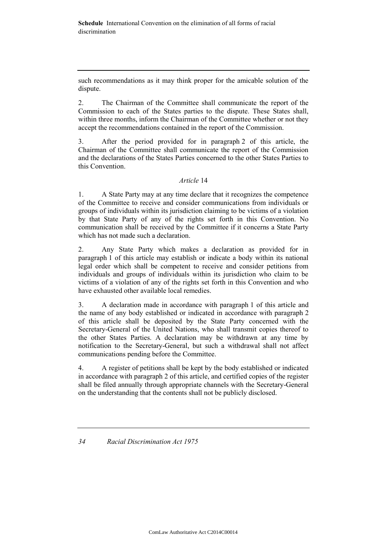such recommendations as it may think proper for the amicable solution of the dispute.

2. The Chairman of the Committee shall communicate the report of the Commission to each of the States parties to the dispute. These States shall, within three months, inform the Chairman of the Committee whether or not they accept the recommendations contained in the report of the Commission.

3. After the period provided for in paragraph 2 of this article, the Chairman of the Committee shall communicate the report of the Commission and the declarations of the States Parties concerned to the other States Parties to this Convention.

## *Article* 14

1. A State Party may at any time declare that it recognizes the competence of the Committee to receive and consider communications from individuals or groups of individuals within its jurisdiction claiming to be victims of a violation by that State Party of any of the rights set forth in this Convention. No communication shall be received by the Committee if it concerns a State Party which has not made such a declaration.

2. Any State Party which makes a declaration as provided for in paragraph 1 of this article may establish or indicate a body within its national legal order which shall be competent to receive and consider petitions from individuals and groups of individuals within its jurisdiction who claim to be victims of a violation of any of the rights set forth in this Convention and who have exhausted other available local remedies.

3. A declaration made in accordance with paragraph 1 of this article and the name of any body established or indicated in accordance with paragraph 2 of this article shall be deposited by the State Party concerned with the Secretary-General of the United Nations, who shall transmit copies thereof to the other States Parties. A declaration may be withdrawn at any time by notification to the Secretary-General, but such a withdrawal shall not affect communications pending before the Committee.

4. A register of petitions shall be kept by the body established or indicated in accordance with paragraph 2 of this article, and certified copies of the register shall be filed annually through appropriate channels with the Secretary-General on the understanding that the contents shall not be publicly disclosed.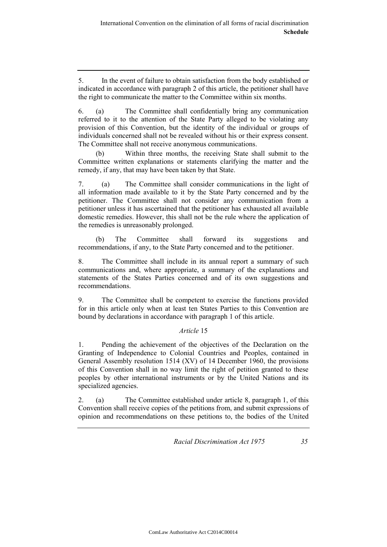5. In the event of failure to obtain satisfaction from the body established or indicated in accordance with paragraph 2 of this article, the petitioner shall have the right to communicate the matter to the Committee within six months.

6. (a) The Committee shall confidentially bring any communication referred to it to the attention of the State Party alleged to be violating any provision of this Convention, but the identity of the individual or groups of individuals concerned shall not be revealed without his or their express consent. The Committee shall not receive anonymous communications.

(b) Within three months, the receiving State shall submit to the Committee written explanations or statements clarifying the matter and the remedy, if any, that may have been taken by that State.

7. (a) The Committee shall consider communications in the light of all information made available to it by the State Party concerned and by the petitioner. The Committee shall not consider any communication from a petitioner unless it has ascertained that the petitioner has exhausted all available domestic remedies. However, this shall not be the rule where the application of the remedies is unreasonably prolonged.

(b) The Committee shall forward its suggestions and recommendations, if any, to the State Party concerned and to the petitioner.

8. The Committee shall include in its annual report a summary of such communications and, where appropriate, a summary of the explanations and statements of the States Parties concerned and of its own suggestions and recommendations.

9. The Committee shall be competent to exercise the functions provided for in this article only when at least ten States Parties to this Convention are bound by declarations in accordance with paragraph 1 of this article.

## *Article* 15

1. Pending the achievement of the objectives of the Declaration on the Granting of Independence to Colonial Countries and Peoples, contained in General Assembly resolution 1514 (XV) of 14 December 1960, the provisions of this Convention shall in no way limit the right of petition granted to these peoples by other international instruments or by the United Nations and its specialized agencies.

2. (a) The Committee established under article 8, paragraph 1, of this Convention shall receive copies of the petitions from, and submit expressions of opinion and recommendations on these petitions to, the bodies of the United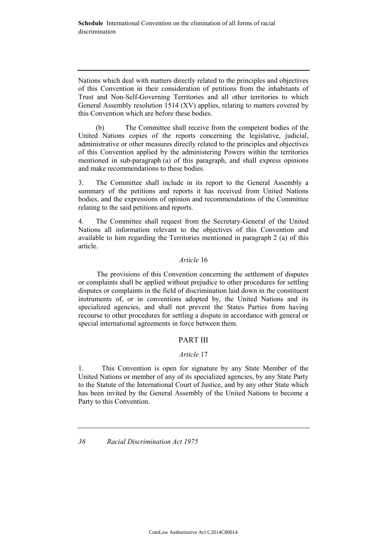Nations which deal with matters directly related to the principles and objectives of this Convention in their consideration of petitions from the inhabitants of Trust and Non-Self-Governing Territories and all other territories to which General Assembly resolution 1514 (XV) applies, relating to matters covered by this Convention which are before these bodies.

(b) The Committee shall receive from the competent bodies of the United Nations copies of the reports concerning the legislative, judicial, administrative or other measures directly related to the principles and objectives of this Convention applied by the administering Powers within the territories mentioned in sub-paragraph (a) of this paragraph, and shall express opinions and make recommendations to these bodies.

3. The Committee shall include in its report to the General Assembly a summary of the petitions and reports it has received from United Nations bodies, and the expressions of opinion and recommendations of the Committee relating to the said petitions and reports.

4. The Committee shall request from the Secretary-General of the United Nations all information relevant to the objectives of this Convention and available to him regarding the Territories mentioned in paragraph 2 (a) of this article.

## *Article* 16

The provisions of this Convention concerning the settlement of disputes or complaints shall be applied without prejudice to other procedures for settling disputes or complaints in the field of discrimination laid down in the constituent instruments of, or in conventions adopted by, the United Nations and its specialized agencies, and shall not prevent the States Parties from having recourse to other procedures for settling a dispute in accordance with general or special international agreements in force between them.

## PART III

## *Article* 17

1. This Convention is open for signature by any State Member of the United Nations or member of any of its specialized agencies, by any State Party to the Statute of the International Court of Justice, and by any other State which has been invited by the General Assembly of the United Nations to become a Party to this Convention.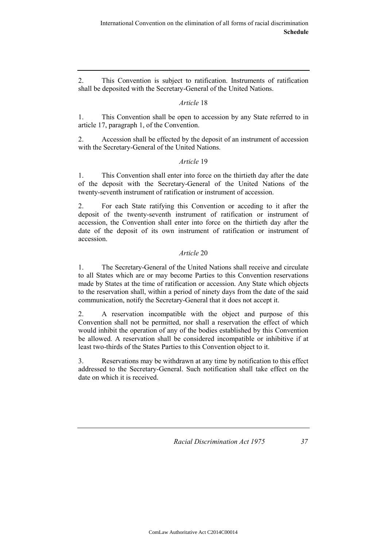2. This Convention is subject to ratification. Instruments of ratification shall be deposited with the Secretary-General of the United Nations.

## *Article* 18

1. This Convention shall be open to accession by any State referred to in article 17, paragraph 1, of the Convention.

2. Accession shall be effected by the deposit of an instrument of accession with the Secretary-General of the United Nations.

## *Article* 19

1. This Convention shall enter into force on the thirtieth day after the date of the deposit with the Secretary-General of the United Nations of the twenty-seventh instrument of ratification or instrument of accession.

2. For each State ratifying this Convention or acceding to it after the deposit of the twenty-seventh instrument of ratification or instrument of accession, the Convention shall enter into force on the thirtieth day after the date of the deposit of its own instrument of ratification or instrument of accession.

## *Article* 20

1. The Secretary-General of the United Nations shall receive and circulate to all States which are or may become Parties to this Convention reservations made by States at the time of ratification or accession. Any State which objects to the reservation shall, within a period of ninety days from the date of the said communication, notify the Secretary-General that it does not accept it.

2. A reservation incompatible with the object and purpose of this Convention shall not be permitted, nor shall a reservation the effect of which would inhibit the operation of any of the bodies established by this Convention be allowed. A reservation shall be considered incompatible or inhibitive if at least two-thirds of the States Parties to this Convention object to it.

3. Reservations may be withdrawn at any time by notification to this effect addressed to the Secretary-General. Such notification shall take effect on the date on which it is received.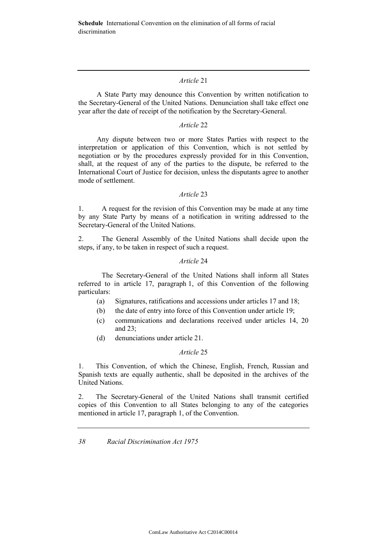**Schedule** International Convention on the elimination of all forms of racial discrimination

#### *Article* 21

A State Party may denounce this Convention by written notification to the Secretary-General of the United Nations. Denunciation shall take effect one year after the date of receipt of the notification by the Secretary-General.

#### *Article* 22

Any dispute between two or more States Parties with respect to the interpretation or application of this Convention, which is not settled by negotiation or by the procedures expressly provided for in this Convention, shall, at the request of any of the parties to the dispute, be referred to the International Court of Justice for decision, unless the disputants agree to another mode of settlement.

#### *Article* 23

1. A request for the revision of this Convention may be made at any time by any State Party by means of a notification in writing addressed to the Secretary-General of the United Nations.

2. The General Assembly of the United Nations shall decide upon the steps, if any, to be taken in respect of such a request.

#### *Article* 24

The Secretary-General of the United Nations shall inform all States referred to in article 17, paragraph 1, of this Convention of the following particulars:

- (a) Signatures, ratifications and accessions under articles 17 and 18;
- (b) the date of entry into force of this Convention under article 19;
- (c) communications and declarations received under articles 14, 20 and  $23$
- (d) denunciations under article 21.

## *Article* 25

1. This Convention, of which the Chinese, English, French, Russian and Spanish texts are equally authentic, shall be deposited in the archives of the United Nations.

2. The Secretary-General of the United Nations shall transmit certified copies of this Convention to all States belonging to any of the categories mentioned in article 17, paragraph 1, of the Convention.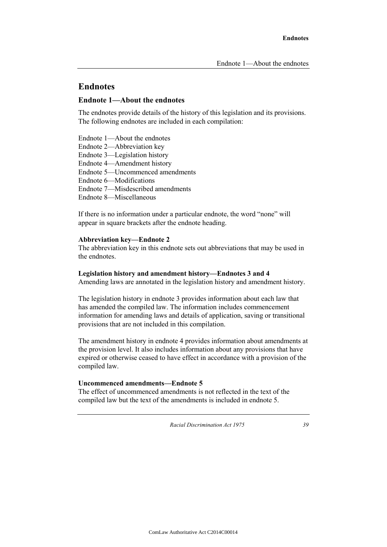## **Endnote 1—About the endnotes**

The endnotes provide details of the history of this legislation and its provisions. The following endnotes are included in each compilation:

Endnote 1—About the endnotes

Endnote 2—Abbreviation key

Endnote 3—Legislation history

Endnote 4—Amendment history

Endnote 5—Uncommenced amendments

Endnote 6—Modifications

Endnote 7—Misdescribed amendments

Endnote 8—Miscellaneous

If there is no information under a particular endnote, the word "none" will appear in square brackets after the endnote heading.

## **Abbreviation key—Endnote 2**

The abbreviation key in this endnote sets out abbreviations that may be used in the endnotes.

### **Legislation history and amendment history—Endnotes 3 and 4**

Amending laws are annotated in the legislation history and amendment history.

The legislation history in endnote 3 provides information about each law that has amended the compiled law. The information includes commencement information for amending laws and details of application, saving or transitional provisions that are not included in this compilation.

The amendment history in endnote 4 provides information about amendments at the provision level. It also includes information about any provisions that have expired or otherwise ceased to have effect in accordance with a provision of the compiled law.

### **Uncommenced amendments—Endnote 5**

The effect of uncommenced amendments is not reflected in the text of the compiled law but the text of the amendments is included in endnote 5.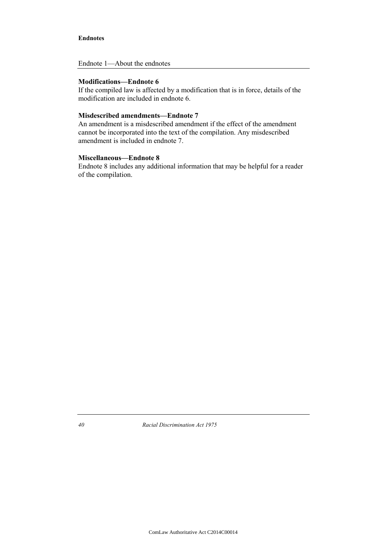Endnote 1—About the endnotes

## **Modifications—Endnote 6**

If the compiled law is affected by a modification that is in force, details of the modification are included in endnote 6.

## **Misdescribed amendments—Endnote 7**

An amendment is a misdescribed amendment if the effect of the amendment cannot be incorporated into the text of the compilation. Any misdescribed amendment is included in endnote 7.

## **Miscellaneous—Endnote 8**

Endnote 8 includes any additional information that may be helpful for a reader of the compilation.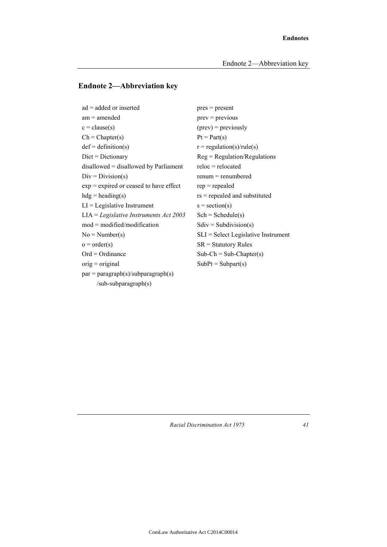## **Endnote 2—Abbreviation key**

| $ad = added$ or inserted                 | $pres = present$                          |
|------------------------------------------|-------------------------------------------|
| $am = amended$                           | $prev = previous$                         |
| $c = clause(s)$                          | $(\text{prev})$ = previously              |
| $Ch = Chapter(s)$                        | $Pt = Part(s)$                            |
| $def = definition(s)$                    | $r = \text{regulation}(s)/\text{rule}(s)$ |
| $Dict = Dictionary$                      | $Reg = Regulation/Regularions$            |
| $disallowed = disallowed by Parliament$  | $reloc = relocated$                       |
| $Div = Division(s)$                      | $remum = renumbered$                      |
| $exp = expired$ or ceased to have effect | $rep = repeated$                          |
| $hdg = heading(s)$                       | $rs$ = repealed and substituted           |
| $LI =$ Legislative Instrument            | $s = section(s)$                          |
| $LIA = Legislative Instruments Act 2003$ | $Sch = Schedule(s)$                       |
| $mod = modified/modification$            | $Sdiv = Subdivision(s)$                   |
| $No = Number(s)$                         | $SLI = Select$ Legislative Instrument     |
| $o = order(s)$                           | $SR =$ Statutory Rules                    |
| $Ord = Ordinance$                        | $Sub-Ch = Sub-Chapter(s)$                 |
| $orig = original$                        | $SubPt = Subpart(s)$                      |
| $par = paragraph(s)/subparagraph(s)$     |                                           |

/sub-subparagraph(s)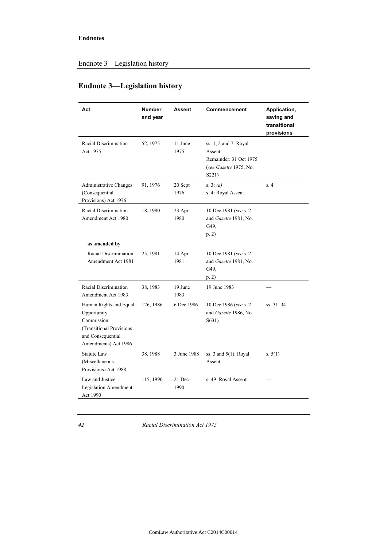| Act                                                                                                                          | <b>Number</b><br>and year | <b>Assent</b>   | Commencement                                                                                              | Application,<br>saving and<br>transitional<br>provisions |
|------------------------------------------------------------------------------------------------------------------------------|---------------------------|-----------------|-----------------------------------------------------------------------------------------------------------|----------------------------------------------------------|
| Racial Discrimination<br>Act 1975                                                                                            | 52, 1975                  | 11 June<br>1975 | ss. 1, 2 and 7: Royal<br>Assent<br>Remainder: 31 Oct 1975<br>(see Gazette 1975, No.<br>S <sub>221</sub> ) |                                                          |
| Administrative Changes<br>(Consequential<br>Provisions) Act 1976                                                             | 91, 1976                  | 20 Sept<br>1976 | s. $3: (a)$<br>s. 4: Royal Assent                                                                         | s.4                                                      |
| Racial Discrimination<br>Amendment Act 1980                                                                                  | 18, 1980                  | 23 Apr<br>1980  | 10 Dec 1981 (see s. 2<br>and Gazette 1981, No.<br>G49.<br>p. 2)                                           |                                                          |
| as amended by                                                                                                                |                           |                 |                                                                                                           |                                                          |
| Racial Discrimination<br>Amendment Act 1981                                                                                  | 25, 1981                  | 14 Apr<br>1981  | 10 Dec 1981 (see s. 2)<br>and Gazette 1981, No.<br>G49,<br>p. 2)                                          |                                                          |
| Racial Discrimination<br>Amendment Act 1983                                                                                  | 38, 1983                  | 19 June<br>1983 | 19 June 1983                                                                                              |                                                          |
| Human Rights and Equal<br>Opportunity<br>Commission<br>(Transitional Provisions<br>and Consequential<br>Amendments) Act 1986 | 126, 1986                 | 6 Dec 1986      | 10 Dec 1986 (see s. 2<br>and Gazette 1986, No.<br>S631)                                                   | $ss. 31 - 34$                                            |
| <b>Statute Law</b><br>(Miscellaneous<br>Provisions) Act 1988                                                                 | 38, 1988                  | 3 June 1988     | ss. $3$ and $5(1)$ : Royal<br>Assent                                                                      | s. $5(1)$                                                |
| Law and Justice<br>Legislation Amendment<br>Act 1990                                                                         | 115, 1990                 | 21 Dec<br>1990  | s. 49: Royal Assent                                                                                       |                                                          |

## **Endnote 3—Legislation history**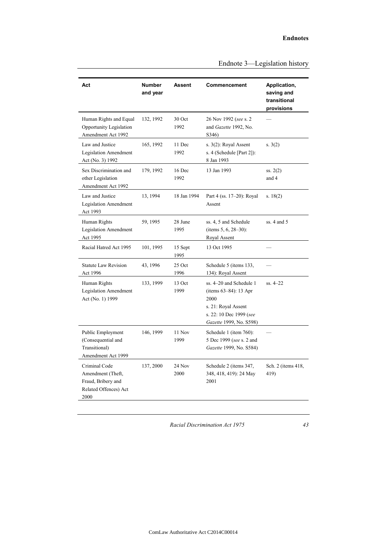| Act                                                                                       | <b>Number</b><br>and year | Assent          | Commencement                                                                                                                          | Application,<br>saving and<br>transitional<br>provisions |
|-------------------------------------------------------------------------------------------|---------------------------|-----------------|---------------------------------------------------------------------------------------------------------------------------------------|----------------------------------------------------------|
| Human Rights and Equal<br>Opportunity Legislation<br>Amendment Act 1992                   | 132, 1992                 | 30 Oct<br>1992  | 26 Nov 1992 (see s. 2)<br>and Gazette 1992, No.<br>S346)                                                                              |                                                          |
| Law and Justice<br><b>Legislation Amendment</b><br>Act (No. 3) 1992                       | 165, 1992                 | 11 Dec<br>1992  | s. 3(2): Royal Assent<br>s. 4 (Schedule [Part 2]):<br>8 Jan 1993                                                                      | s. $3(2)$                                                |
| Sex Discrimination and<br>other Legislation<br>Amendment Act 1992                         | 179, 1992                 | 16 Dec<br>1992  | 13 Jan 1993                                                                                                                           | ss. 2(2)<br>and 4                                        |
| Law and Justice<br><b>Legislation Amendment</b><br>Act 1993                               | 13, 1994                  | 18 Jan 1994     | Part 4 (ss. 17–20): Royal<br>Assent                                                                                                   | s. $18(2)$                                               |
| Human Rights<br>Legislation Amendment<br>Act 1995                                         | 59, 1995                  | 28 June<br>1995 | ss. 4, 5 and Schedule<br>(items $5, 6, 28-30$ ):<br>Royal Assent                                                                      | ss. $4$ and $5$                                          |
| Racial Hatred Act 1995                                                                    | 101, 1995                 | 15 Sept<br>1995 | 13 Oct 1995                                                                                                                           |                                                          |
| <b>Statute Law Revision</b><br>Act 1996                                                   | 43, 1996                  | 25 Oct<br>1996  | Schedule 5 (items 133,<br>134): Royal Assent                                                                                          |                                                          |
| Human Rights<br>Legislation Amendment<br>Act (No. 1) 1999                                 | 133, 1999                 | 13 Oct<br>1999  | ss. 4–20 and Schedule 1<br>(items 63-84): 13 Apr<br>2000<br>s. 21: Royal Assent<br>s. 22: 10 Dec 1999 (see<br>Gazette 1999, No. S598) | $ss.4-22$                                                |
| Public Employment<br>(Consequential and<br>Transitional)<br>Amendment Act 1999            | 146, 1999                 | 11 Nov<br>1999  | Schedule 1 (item 760):<br>5 Dec 1999 (see s. 2 and<br>Gazette 1999, No. S584)                                                         |                                                          |
| Criminal Code<br>Amendment (Theft,<br>Fraud, Bribery and<br>Related Offences) Act<br>2000 | 137, 2000                 | 24 Nov<br>2000  | Schedule 2 (items 347,<br>348, 418, 419): 24 May<br>2001                                                                              | Sch. 2 (items 418,<br>419)                               |

Endnote 3—Legislation history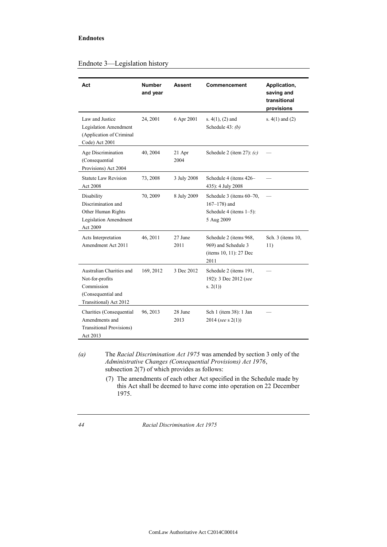| Act                                                                                                       | <b>Number</b><br>and year | <b>Assent</b>   | Commencement                                                                           | Application,<br>saving and<br>transitional<br>provisions |
|-----------------------------------------------------------------------------------------------------------|---------------------------|-----------------|----------------------------------------------------------------------------------------|----------------------------------------------------------|
| Law and Justice<br>Legislation Amendment<br>(Application of Criminal<br>Code) Act 2001                    | 24, 2001                  | 6 Apr 2001      | s. $4(1)$ , $(2)$ and<br>Schedule 43: (b)                                              | s. $4(1)$ and $(2)$                                      |
| Age Discrimination<br>(Consequential<br>Provisions) Act 2004                                              | 40, 2004                  | 21 Apr<br>2004  | Schedule 2 (item 27): $(c)$                                                            |                                                          |
| <b>Statute Law Revision</b><br>Act 2008                                                                   | 73, 2008                  | 3 July 2008     | Schedule 4 (items 426-<br>435): 4 July 2008                                            |                                                          |
| Disability<br>Discrimination and<br>Other Human Rights<br>Legislation Amendment<br>Act 2009               | 70, 2009                  | 8 July 2009     | Schedule 3 (items 60-70,<br>$167 - 178$ ) and<br>Schedule 4 (items 1-5):<br>5 Aug 2009 |                                                          |
| Acts Interpretation<br>Amendment Act 2011                                                                 | 46, 2011                  | 27 June<br>2011 | Schedule 2 (items 968,<br>969) and Schedule 3<br>(items 10, 11): 27 Dec<br>2011        | Sch. 3 (items 10,<br>11)                                 |
| Australian Charities and<br>Not-for-profits<br>Commission<br>(Consequential and<br>Transitional) Act 2012 | 169, 2012                 | 3 Dec 2012      | Schedule 2 (items 191,<br>192): 3 Dec 2012 (see<br>s. $2(1)$ )                         |                                                          |
| Charities (Consequential<br>Amendments and<br><b>Transitional Provisions)</b><br>Act 2013                 | 96, 2013                  | 28 June<br>2013 | Sch 1 (item 38): 1 Jan<br>$2014$ (see s $2(1)$ )                                       |                                                          |

*(a)* The *Racial Discrimination Act 1975* was amended by section 3 only of the *Administrative Changes (Consequential Provisions) Act 1976*, subsection 2(7) of which provides as follows:

> (7) The amendments of each other Act specified in the Schedule made by this Act shall be deemed to have come into operation on 22 December 1975.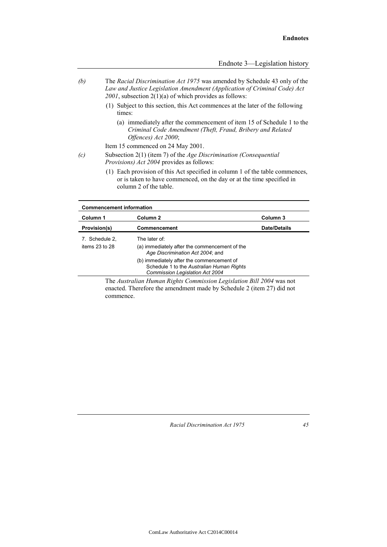- *(b)* The *Racial Discrimination Act 1975* was amended by Schedule 43 only of the *Law and Justice Legislation Amendment (Application of Criminal Code) Act 2001*, subsection 2(1)(a) of which provides as follows:
	- (1) Subject to this section, this Act commences at the later of the following times:
		- (a) immediately after the commencement of item 15 of Schedule 1 to the *Criminal Code Amendment (Theft, Fraud, Bribery and Related Offences) Act 2000*;

Item 15 commenced on 24 May 2001.

*(c)* Subsection 2(1) (item 7) of the *Age Discrimination (Consequential Provisions) Act 2004* provides as follows:

> (1) Each provision of this Act specified in column 1 of the table commences, or is taken to have commenced, on the day or at the time specified in column 2 of the table.

| <b>Commencement information</b> |                                                                                                                                               |                     |  |  |
|---------------------------------|-----------------------------------------------------------------------------------------------------------------------------------------------|---------------------|--|--|
| Column 1                        | Column <sub>2</sub>                                                                                                                           | Column 3            |  |  |
| <b>Provision(s)</b>             | Commencement                                                                                                                                  | <b>Date/Details</b> |  |  |
| 7. Schedule 2,                  | The later of:                                                                                                                                 |                     |  |  |
| items 23 to 28                  | (a) immediately after the commencement of the<br>Age Discrimination Act 2004; and                                                             |                     |  |  |
|                                 | (b) immediately after the commencement of<br>Schedule 1 to the Australian Human Rights<br><b>Commission Legislation Act 2004</b>              |                     |  |  |
|                                 | The Australian Human Rights Commission Legislation Bill 2004 was not<br>enacted. Therefore the amendment made by Schedule 2 (item 27) did not |                     |  |  |

commence.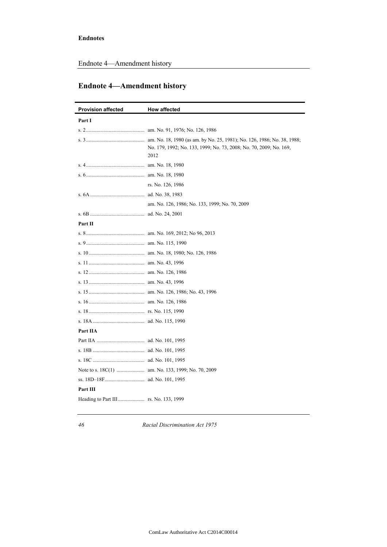## **Endnote 4—Amendment history**

| <b>Provision affected</b> | <b>How affected</b>                                                                                                                                   |
|---------------------------|-------------------------------------------------------------------------------------------------------------------------------------------------------|
| Part I                    |                                                                                                                                                       |
|                           |                                                                                                                                                       |
|                           | am. No. 18, 1980 (as am. by No. 25, 1981); No. 126, 1986; No. 38, 1988;<br>No. 179, 1992; No. 133, 1999; No. 73, 2008; No. 70, 2009; No. 169,<br>2012 |
|                           |                                                                                                                                                       |
|                           |                                                                                                                                                       |
|                           | rs. No. 126, 1986                                                                                                                                     |
|                           |                                                                                                                                                       |
|                           | am. No. 126, 1986; No. 133, 1999; No. 70, 2009                                                                                                        |
|                           | ad. No. 24, 2001                                                                                                                                      |
| Part II                   |                                                                                                                                                       |
|                           |                                                                                                                                                       |
|                           |                                                                                                                                                       |
|                           |                                                                                                                                                       |
|                           |                                                                                                                                                       |
|                           |                                                                                                                                                       |
|                           |                                                                                                                                                       |
|                           |                                                                                                                                                       |
|                           |                                                                                                                                                       |
|                           |                                                                                                                                                       |
|                           |                                                                                                                                                       |
| Part IIA                  |                                                                                                                                                       |
|                           |                                                                                                                                                       |
|                           |                                                                                                                                                       |
|                           |                                                                                                                                                       |
|                           |                                                                                                                                                       |
|                           |                                                                                                                                                       |
| Part III                  |                                                                                                                                                       |
|                           |                                                                                                                                                       |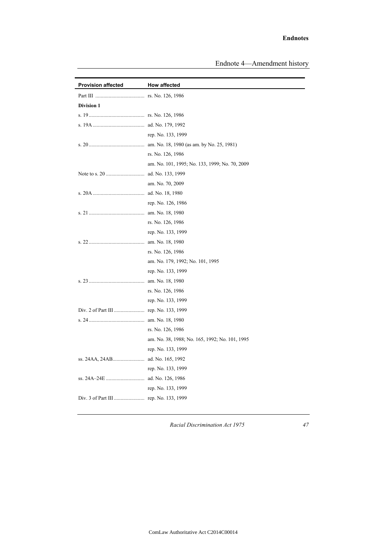Endnote 4—Amendment history

| <b>Provision affected</b> | <b>How affected</b>                            |
|---------------------------|------------------------------------------------|
|                           |                                                |
| <b>Division 1</b>         |                                                |
|                           |                                                |
|                           |                                                |
|                           | rep. No. 133, 1999                             |
|                           |                                                |
|                           | rs. No. 126, 1986                              |
|                           | am. No. 101, 1995; No. 133, 1999; No. 70, 2009 |
|                           |                                                |
|                           | am. No. 70, 2009                               |
|                           |                                                |
|                           | rep. No. 126, 1986                             |
|                           |                                                |
|                           | rs. No. 126, 1986                              |
|                           | rep. No. 133, 1999                             |
|                           | am. No. 18, 1980                               |
|                           | rs. No. 126, 1986                              |
|                           | am. No. 179, 1992; No. 101, 1995               |
|                           | rep. No. 133, 1999                             |
|                           |                                                |
|                           | rs. No. 126, 1986                              |
|                           | rep. No. 133, 1999                             |
|                           |                                                |
|                           |                                                |
|                           | rs. No. 126, 1986                              |
|                           | am. No. 38, 1988; No. 165, 1992; No. 101, 1995 |
|                           | rep. No. 133, 1999                             |
|                           |                                                |
|                           | rep. No. 133, 1999                             |
|                           |                                                |
|                           | rep. No. 133, 1999                             |
|                           |                                                |
|                           |                                                |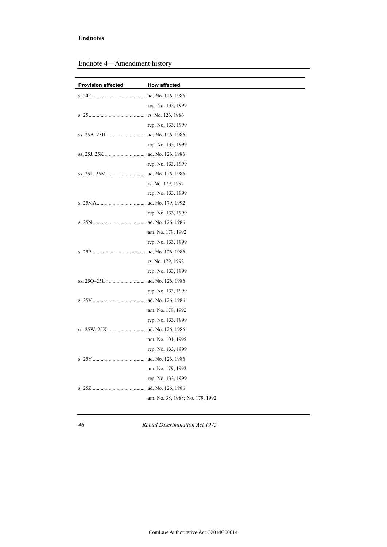| Endnote 4—Amendment history |  |  |  |  |  |
|-----------------------------|--|--|--|--|--|
|-----------------------------|--|--|--|--|--|

| <b>Provision affected</b> | <b>How affected</b>             |
|---------------------------|---------------------------------|
|                           |                                 |
|                           | rep. No. 133, 1999              |
|                           |                                 |
|                           | rep. No. 133, 1999              |
|                           |                                 |
|                           | rep. No. 133, 1999              |
|                           |                                 |
|                           | rep. No. 133, 1999              |
|                           |                                 |
|                           | rs. No. 179, 1992               |
|                           | rep. No. 133, 1999              |
|                           |                                 |
|                           | rep. No. 133, 1999              |
|                           |                                 |
|                           | am. No. 179, 1992               |
|                           | rep. No. 133, 1999              |
|                           |                                 |
|                           | rs. No. 179, 1992               |
|                           | rep. No. 133, 1999              |
|                           |                                 |
|                           | rep. No. 133, 1999              |
|                           |                                 |
|                           | am. No. 179, 1992               |
|                           | rep. No. 133, 1999              |
|                           |                                 |
|                           | am. No. 101, 1995               |
|                           | rep. No. 133, 1999              |
|                           |                                 |
|                           | am. No. 179, 1992               |
|                           | rep. No. 133, 1999              |
|                           | ad. No. 126, 1986               |
|                           | am. No. 38, 1988; No. 179, 1992 |
|                           |                                 |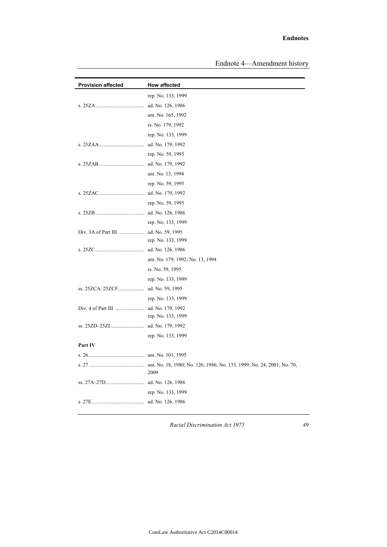| <b>Provision affected</b> | <b>How affected</b>             |
|---------------------------|---------------------------------|
|                           | rep. No. 133, 1999              |
|                           |                                 |
|                           | am. No. 165, 1992               |
|                           | rs. No. 179, 1992               |
|                           | rep. No. 133, 1999              |
|                           | ad. No. 179, 1992               |
|                           | rep. No. 59, 1995               |
|                           | ad. No. 179, 1992               |
|                           | am. No. 13, 1994                |
|                           | rep. No. 59, 1995               |
|                           |                                 |
|                           | rep. No. 59, 1995               |
|                           |                                 |
|                           | rep. No. 133, 1999              |
|                           | ad. No. 59, 1995                |
|                           | rep. No. 133, 1999              |
|                           | ad. No. 126, 1986               |
|                           | am. No. 179, 1992; No. 13, 1994 |
|                           | rs. No. 59, 1995                |
|                           | rep. No. 133, 1999              |
|                           |                                 |
|                           | rep. No. 133, 1999              |
|                           | rep. No. 133, 1999              |
|                           |                                 |
|                           | rep. No. 133, 1999              |
| Part IV                   |                                 |
|                           |                                 |
|                           |                                 |
|                           | 2009                            |
|                           |                                 |
|                           | rep. No. 133, 1999              |
|                           |                                 |
|                           |                                 |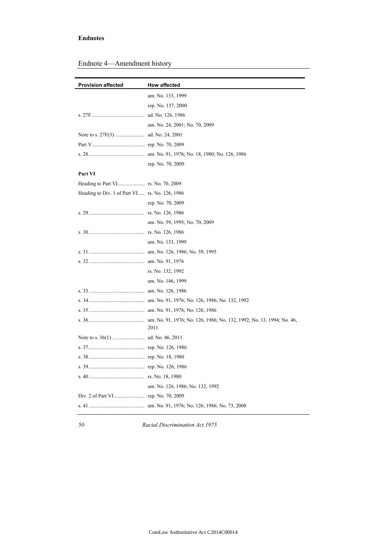## Endnote 4—Amendment history

| <b>Provision affected</b>                      | <b>How affected</b>                                                           |
|------------------------------------------------|-------------------------------------------------------------------------------|
|                                                | am. No. 133, 1999                                                             |
|                                                | rep. No. 137, 2000                                                            |
|                                                | ad. No. 126, 1986                                                             |
|                                                | am. No. 24, 2001; No. 70, 2009                                                |
|                                                | ad. No. 24, 2001                                                              |
|                                                |                                                                               |
|                                                |                                                                               |
|                                                | rep. No. 70, 2009                                                             |
| Part VI                                        |                                                                               |
|                                                |                                                                               |
| Heading to Div. 1 of Part VI rs. No. 126, 1986 |                                                                               |
|                                                | rep. No. 70, 2009                                                             |
|                                                |                                                                               |
|                                                | am. No. 59, 1995; No. 70, 2009                                                |
|                                                |                                                                               |
|                                                | am. No. 133, 1999                                                             |
|                                                |                                                                               |
|                                                |                                                                               |
|                                                | rs. No. 132, 1992                                                             |
|                                                | am. No. 146, 1999                                                             |
|                                                | am. No. 126, 1986                                                             |
|                                                |                                                                               |
|                                                |                                                                               |
|                                                | am. No. 91, 1976; No. 126, 1986; No. 132, 1992; No. 13, 1994; No. 46,<br>2011 |
|                                                |                                                                               |
|                                                |                                                                               |
|                                                |                                                                               |
|                                                |                                                                               |
|                                                |                                                                               |
|                                                | am. No. 126, 1986; No. 132, 1992                                              |
|                                                |                                                                               |
|                                                |                                                                               |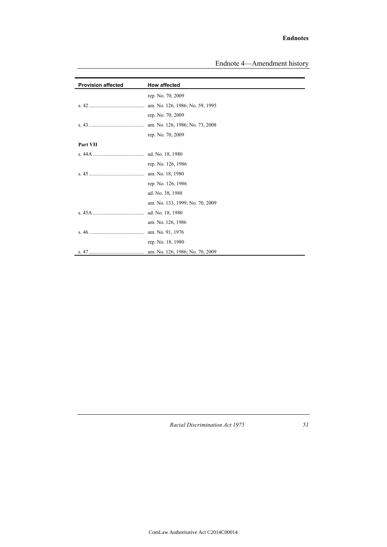|  | Endnote 4—Amendment history |
|--|-----------------------------|
|--|-----------------------------|

| <b>Provision affected</b> | <b>How affected</b>             |
|---------------------------|---------------------------------|
|                           | rep. No. 70, 2009               |
|                           |                                 |
|                           | rep. No. 70, 2009               |
|                           |                                 |
|                           | rep. No. 70, 2009               |
| Part VII                  |                                 |
|                           |                                 |
|                           | rep. No. 126, 1986              |
|                           |                                 |
|                           | rep. No. 126, 1986              |
|                           | ad. No. 38, 1988                |
|                           | am. No. 133, 1999; No. 70, 2009 |
|                           | ad. No. 18, 1980                |
|                           | am. No. 126, 1986               |
|                           |                                 |
|                           | rep. No. 18, 1980               |
|                           |                                 |